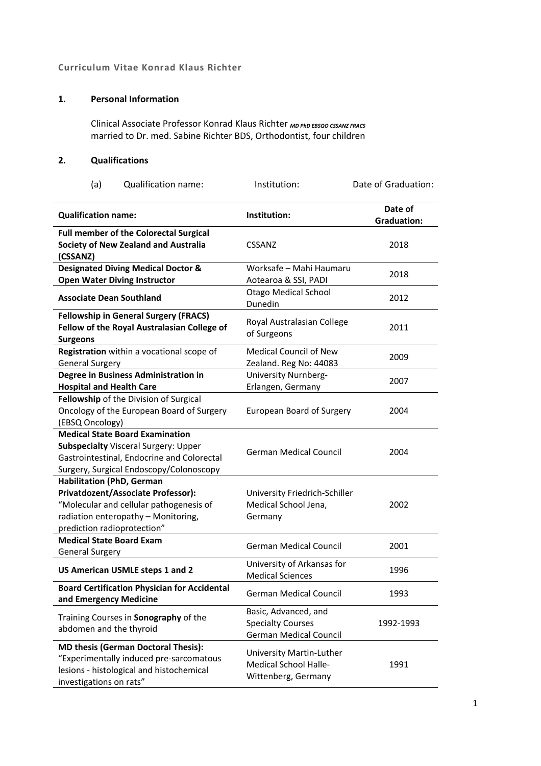## **Curriculum Vitae Konrad Klaus Richter**

## **1. Personal Information**

Clinical Associate Professor Konrad Klaus Richter *MD PhD EBSQO CSSANZ FRACS* married to Dr. med. Sabine Richter BDS, Orthodontist, four children

### **2. Qualifications**

| (a)<br><b>Qualification name:</b>                                                                                                                                                       | Institution:                                                                      | Date of Graduation:           |
|-----------------------------------------------------------------------------------------------------------------------------------------------------------------------------------------|-----------------------------------------------------------------------------------|-------------------------------|
| <b>Qualification name:</b>                                                                                                                                                              | Institution:                                                                      | Date of<br><b>Graduation:</b> |
| <b>Full member of the Colorectal Surgical</b><br>Society of New Zealand and Australia<br>(CSSANZ)                                                                                       | <b>CSSANZ</b>                                                                     | 2018                          |
| <b>Designated Diving Medical Doctor &amp;</b><br><b>Open Water Diving Instructor</b>                                                                                                    | Worksafe - Mahi Haumaru<br>Aotearoa & SSI, PADI                                   | 2018                          |
| <b>Associate Dean Southland</b>                                                                                                                                                         | <b>Otago Medical School</b><br>Dunedin                                            | 2012                          |
| <b>Fellowship in General Surgery (FRACS)</b><br>Fellow of the Royal Australasian College of<br><b>Surgeons</b>                                                                          | Royal Australasian College<br>of Surgeons                                         | 2011                          |
| Registration within a vocational scope of<br><b>General Surgery</b>                                                                                                                     | <b>Medical Council of New</b><br>Zealand. Reg No: 44083                           | 2009                          |
| Degree in Business Administration in<br><b>Hospital and Health Care</b>                                                                                                                 | University Nurnberg-<br>Erlangen, Germany                                         | 2007                          |
| Fellowship of the Division of Surgical<br>Oncology of the European Board of Surgery<br>(EBSQ Oncology)                                                                                  | <b>European Board of Surgery</b>                                                  | 2004                          |
| <b>Medical State Board Examination</b><br><b>Subspecialty Visceral Surgery: Upper</b><br>Gastrointestinal, Endocrine and Colorectal<br>Surgery, Surgical Endoscopy/Colonoscopy          | <b>German Medical Council</b>                                                     | 2004                          |
| <b>Habilitation (PhD, German</b><br>Privatdozent/Associate Professor):<br>"Molecular and cellular pathogenesis of<br>radiation enteropathy - Monitoring,<br>prediction radioprotection" | University Friedrich-Schiller<br>Medical School Jena,<br>Germany                  | 2002                          |
| <b>Medical State Board Exam</b><br><b>General Surgery</b>                                                                                                                               | <b>German Medical Council</b>                                                     | 2001                          |
| US American USMLE steps 1 and 2                                                                                                                                                         | University of Arkansas for<br><b>Medical Sciences</b>                             | 1996                          |
| <b>Board Certification Physician for Accidental</b><br>and Emergency Medicine                                                                                                           | <b>German Medical Council</b>                                                     | 1993                          |
| Training Courses in Sonography of the<br>abdomen and the thyroid                                                                                                                        | Basic, Advanced, and<br><b>Specialty Courses</b><br><b>German Medical Council</b> | 1992-1993                     |
| <b>MD thesis (German Doctoral Thesis):</b><br>"Experimentally induced pre-sarcomatous<br>lesions - histological and histochemical<br>investigations on rats"                            | University Martin-Luther<br>Medical School Halle-<br>Wittenberg, Germany          | 1991                          |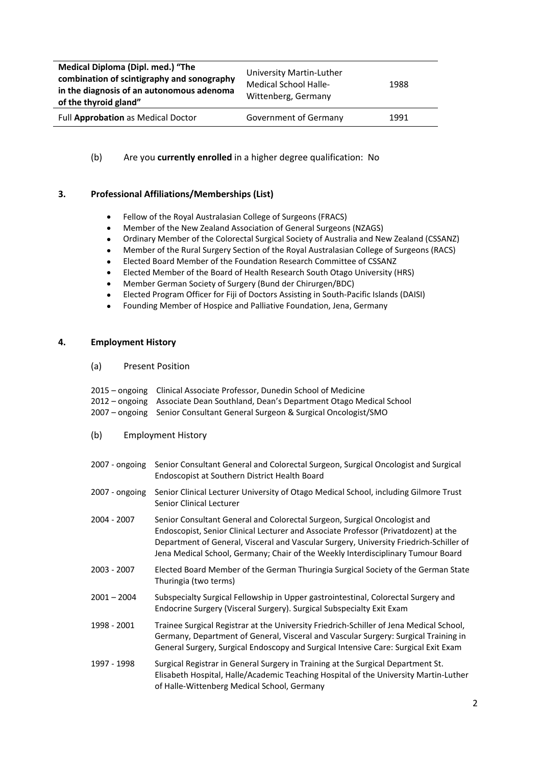| Medical Diploma (Dipl. med.) "The<br>University Martin-Luther<br>combination of scintigraphy and sonography<br><b>Medical School Halle-</b><br>1988<br>in the diagnosis of an autonomous adenoma<br>Wittenberg, Germany<br>of the thyroid gland" |  |
|--------------------------------------------------------------------------------------------------------------------------------------------------------------------------------------------------------------------------------------------------|--|
| Full Approbation as Medical Doctor<br>Government of Germany<br>1991                                                                                                                                                                              |  |

(b) Are you **currently enrolled** in a higher degree qualification: No

### **3. Professional Affiliations/Memberships (List)**

- Fellow of the Royal Australasian College of Surgeons (FRACS)
- Member of the New Zealand Association of General Surgeons (NZAGS)
- Ordinary Member of the Colorectal Surgical Society of Australia and New Zealand (CSSANZ)
- Member of the Rural Surgery Section of the Royal Australasian College of Surgeons (RACS)
- Elected Board Member of the Foundation Research Committee of CSSANZ
- Elected Member of the Board of Health Research South Otago University (HRS)
- Member German Society of Surgery (Bund der Chirurgen/BDC)
- Elected Program Officer for Fiji of Doctors Assisting in South-Pacific Islands (DAISI)
- Founding Member of Hospice and Palliative Foundation, Jena, Germany

#### **4. Employment History**

(a) Present Position

| 2015 – ongoing Clinical Associate Professor, Dunedin School of Medicine |  |
|-------------------------------------------------------------------------|--|
|-------------------------------------------------------------------------|--|

- 2012 ongoing Associate Dean Southland, Dean's Department Otago Medical School
- 2007 ongoing Senior Consultant General Surgeon & Surgical Oncologist/SMO
- (b) Employment History
- 2007 ongoing Senior Consultant General and Colorectal Surgeon, Surgical Oncologist and Surgical Endoscopist at Southern District Health Board
- 2007 ongoing Senior Clinical Lecturer University of Otago Medical School, including Gilmore Trust Senior Clinical Lecturer
- 2004 2007 Senior Consultant General and Colorectal Surgeon, Surgical Oncologist and Endoscopist, Senior Clinical Lecturer and Associate Professor (Privatdozent) at the Department of General, Visceral and Vascular Surgery, University Friedrich-Schiller of Jena Medical School, Germany; Chair of the Weekly Interdisciplinary Tumour Board
- 2003 2007 Elected Board Member of the German Thuringia Surgical Society of the German State Thuringia (two terms)
- 2001 2004 Subspecialty Surgical Fellowship in Upper gastrointestinal, Colorectal Surgery and Endocrine Surgery (Visceral Surgery). Surgical Subspecialty Exit Exam
- 1998 2001 Trainee Surgical Registrar at the University Friedrich-Schiller of Jena Medical School, Germany, Department of General, Visceral and Vascular Surgery: Surgical Training in General Surgery, Surgical Endoscopy and Surgical Intensive Care: Surgical Exit Exam
- 1997 1998 Surgical Registrar in General Surgery in Training at the Surgical Department St. Elisabeth Hospital, Halle/Academic Teaching Hospital of the University Martin-Luther of Halle-Wittenberg Medical School, Germany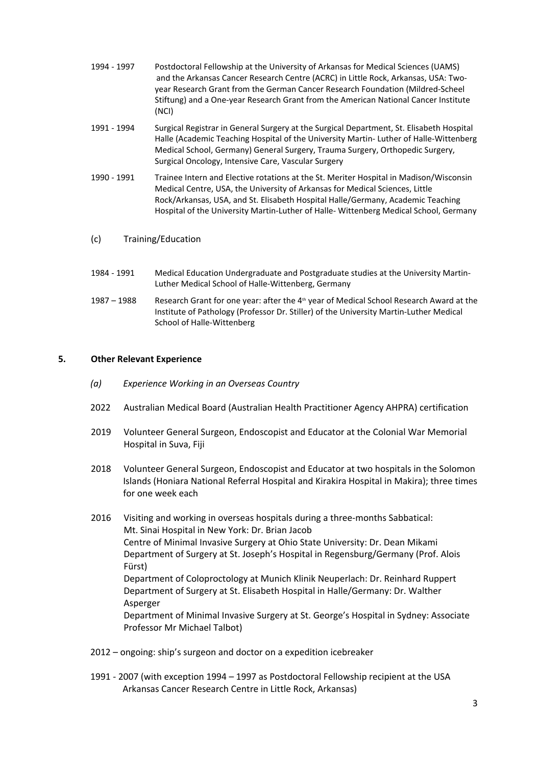- 1994 1997 Postdoctoral Fellowship at the University of Arkansas for Medical Sciences (UAMS) and the Arkansas Cancer Research Centre (ACRC) in Little Rock, Arkansas, USA: Twoyear Research Grant from the German Cancer Research Foundation (Mildred-Scheel Stiftung) and a One-year Research Grant from the American National Cancer Institute (NCI)
- 1991 1994 Surgical Registrar in General Surgery at the Surgical Department, St. Elisabeth Hospital Halle (Academic Teaching Hospital of the University Martin- Luther of Halle-Wittenberg Medical School, Germany) General Surgery, Trauma Surgery, Orthopedic Surgery, Surgical Oncology, Intensive Care, Vascular Surgery
- 1990 1991 Trainee Intern and Elective rotations at the St. Meriter Hospital in Madison/Wisconsin Medical Centre, USA, the University of Arkansas for Medical Sciences, Little Rock/Arkansas, USA, and St. Elisabeth Hospital Halle/Germany, Academic Teaching Hospital of the University Martin-Luther of Halle- Wittenberg Medical School, Germany
- (c) Training/Education
- 1984 1991 Medical Education Undergraduate and Postgraduate studies at the University Martin-Luther Medical School of Halle-Wittenberg, Germany
- 1987 1988 Research Grant for one year: after the 4<sup>th</sup> year of Medical School Research Award at the Institute of Pathology (Professor Dr. Stiller) of the University Martin-Luther Medical School of Halle-Wittenberg

#### **5. Other Relevant Experience**

- *(a) Experience Working in an Overseas Country*
- 2022 Australian Medical Board (Australian Health Practitioner Agency AHPRA) certification
- 2019 Volunteer General Surgeon, Endoscopist and Educator at the Colonial War Memorial Hospital in Suva, Fiji
- 2018 Volunteer General Surgeon, Endoscopist and Educator at two hospitals in the Solomon Islands (Honiara National Referral Hospital and Kirakira Hospital in Makira); three times for one week each
- 2016 Visiting and working in overseas hospitals during a three-months Sabbatical: Mt. Sinai Hospital in New York: Dr. Brian Jacob Centre of Minimal Invasive Surgery at Ohio State University: Dr. Dean Mikami Department of Surgery at St. Joseph's Hospital in Regensburg/Germany (Prof. Alois Fürst) Department of Coloproctology at Munich Klinik Neuperlach: Dr. Reinhard Ruppert Department of Surgery at St. Elisabeth Hospital in Halle/Germany: Dr. Walther Asperger Department of Minimal Invasive Surgery at St. George's Hospital in Sydney: Associate Professor Mr Michael Talbot)
- 2012 ongoing: ship's surgeon and doctor on a expedition icebreaker
- 1991 2007 (with exception 1994 1997 as Postdoctoral Fellowship recipient at the USA Arkansas Cancer Research Centre in Little Rock, Arkansas)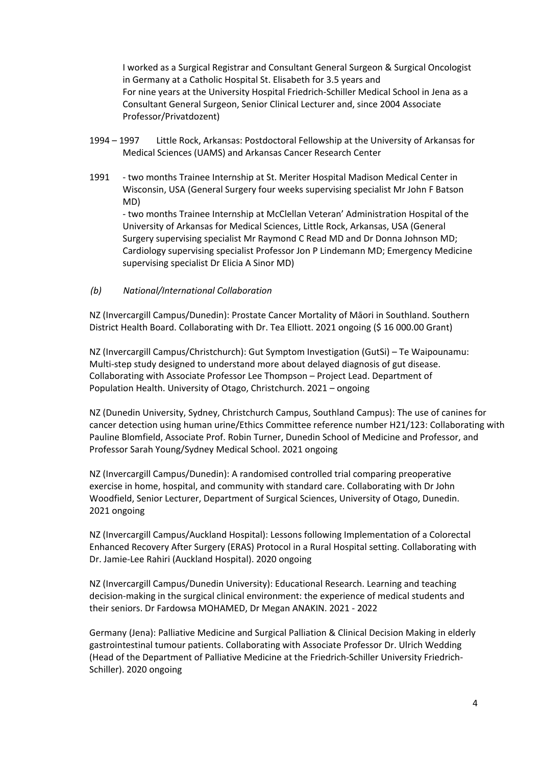I worked as a Surgical Registrar and Consultant General Surgeon & Surgical Oncologist in Germany at a Catholic Hospital St. Elisabeth for 3.5 years and For nine years at the University Hospital Friedrich-Schiller Medical School in Jena as a Consultant General Surgeon, Senior Clinical Lecturer and, since 2004 Associate Professor/Privatdozent)

- 1994 1997 Little Rock, Arkansas: Postdoctoral Fellowship at the University of Arkansas for Medical Sciences (UAMS) and Arkansas Cancer Research Center
- 1991 two months Trainee Internship at St. Meriter Hospital Madison Medical Center in Wisconsin, USA (General Surgery four weeks supervising specialist Mr John F Batson MD) - two months Trainee Internship at McClellan Veteran' Administration Hospital of the University of Arkansas for Medical Sciences, Little Rock, Arkansas, USA (General Surgery supervising specialist Mr Raymond C Read MD and Dr Donna Johnson MD; Cardiology supervising specialist Professor Jon P Lindemann MD; Emergency Medicine supervising specialist Dr Elicia A Sinor MD)
- *(b) National/International Collaboration*

NZ (Invercargill Campus/Dunedin): Prostate Cancer Mortality of Māori in Southland. Southern District Health Board. Collaborating with Dr. Tea Elliott. 2021 ongoing (\$ 16 000.00 Grant)

NZ (Invercargill Campus/Christchurch): Gut Symptom Investigation (GutSi) – Te Waipounamu: Multi-step study designed to understand more about delayed diagnosis of gut disease. Collaborating with Associate Professor Lee Thompson – Project Lead. Department of Population Health. University of Otago, Christchurch. 2021 – ongoing

NZ (Dunedin University, Sydney, Christchurch Campus, Southland Campus): The use of canines for cancer detection using human urine/Ethics Committee reference number H21/123: Collaborating with Pauline Blomfield, Associate Prof. Robin Turner, Dunedin School of Medicine and Professor, and Professor Sarah Young/Sydney Medical School. 2021 ongoing

NZ (Invercargill Campus/Dunedin): A randomised controlled trial comparing preoperative exercise in home, hospital, and community with standard care. Collaborating with Dr John Woodfield, Senior Lecturer, Department of Surgical Sciences, University of Otago, Dunedin. 2021 ongoing

NZ (Invercargill Campus/Auckland Hospital): Lessons following Implementation of a Colorectal Enhanced Recovery After Surgery (ERAS) Protocol in a Rural Hospital setting. Collaborating with Dr. Jamie-Lee Rahiri (Auckland Hospital). 2020 ongoing

NZ (Invercargill Campus/Dunedin University): Educational Research. Learning and teaching decision-making in the surgical clinical environment: the experience of medical students and their seniors. Dr Fardowsa MOHAMED, Dr Megan ANAKIN. 2021 - 2022

Germany (Jena): Palliative Medicine and Surgical Palliation & Clinical Decision Making in elderly gastrointestinal tumour patients. Collaborating with Associate Professor Dr. Ulrich Wedding (Head of the Department of Palliative Medicine at the Friedrich-Schiller University Friedrich-Schiller). 2020 ongoing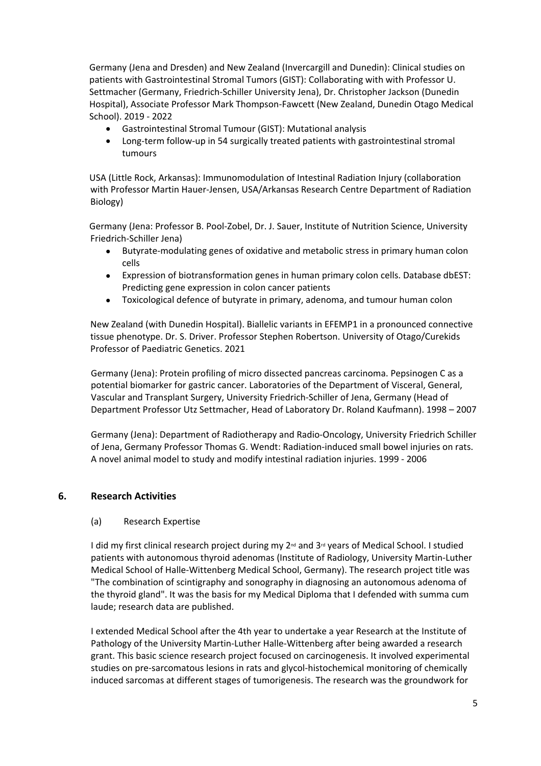Germany (Jena and Dresden) and New Zealand (Invercargill and Dunedin): Clinical studies on patients with Gastrointestinal Stromal Tumors (GIST): Collaborating with with Professor U. Settmacher (Germany, Friedrich-Schiller University Jena), Dr. Christopher Jackson (Dunedin Hospital), Associate Professor Mark Thompson-Fawcett (New Zealand, Dunedin Otago Medical School). 2019 - 2022

- Gastrointestinal Stromal Tumour (GIST): Mutational analysis
- Long-term follow-up in 54 surgically treated patients with gastrointestinal stromal tumours

USA (Little Rock, Arkansas): Immunomodulation of Intestinal Radiation Injury (collaboration with Professor Martin Hauer-Jensen, USA/Arkansas Research Centre Department of Radiation Biology)

Germany (Jena: Professor B. Pool-Zobel, Dr. J. Sauer, Institute of Nutrition Science, University Friedrich-Schiller Jena)

- Butyrate-modulating genes of oxidative and metabolic stress in primary human colon cells
- Expression of biotransformation genes in human primary colon cells. Database dbEST: Predicting gene expression in colon cancer patients
- Toxicological defence of butyrate in primary, adenoma, and tumour human colon

New Zealand (with Dunedin Hospital). Biallelic variants in EFEMP1 in a pronounced connective tissue phenotype. Dr. S. Driver. Professor Stephen Robertson. University of Otago/Curekids Professor of Paediatric Genetics. 2021

Germany (Jena): Protein profiling of micro dissected pancreas carcinoma. Pepsinogen C as a potential biomarker for gastric cancer. Laboratories of the Department of Visceral, General, Vascular and Transplant Surgery, University Friedrich-Schiller of Jena, Germany (Head of Department Professor Utz Settmacher, Head of Laboratory Dr. Roland Kaufmann). 1998 – 2007

Germany (Jena): Department of Radiotherapy and Radio-Oncology, University Friedrich Schiller of Jena, Germany Professor Thomas G. Wendt: Radiation-induced small bowel injuries on rats. A novel animal model to study and modify intestinal radiation injuries. 1999 - 2006

# **6. Research Activities**

#### (a) Research Expertise

I did my first clinical research project during my  $2^{nd}$  and  $3^{rd}$  years of Medical School. I studied patients with autonomous thyroid adenomas (Institute of Radiology, University Martin-Luther Medical School of Halle-Wittenberg Medical School, Germany). The research project title was "The combination of scintigraphy and sonography in diagnosing an autonomous adenoma of the thyroid gland". It was the basis for my Medical Diploma that I defended with summa cum laude; research data are published.

I extended Medical School after the 4th year to undertake a year Research at the Institute of Pathology of the University Martin-Luther Halle-Wittenberg after being awarded a research grant. This basic science research project focused on carcinogenesis. It involved experimental studies on pre-sarcomatous lesions in rats and glycol-histochemical monitoring of chemically induced sarcomas at different stages of tumorigenesis. The research was the groundwork for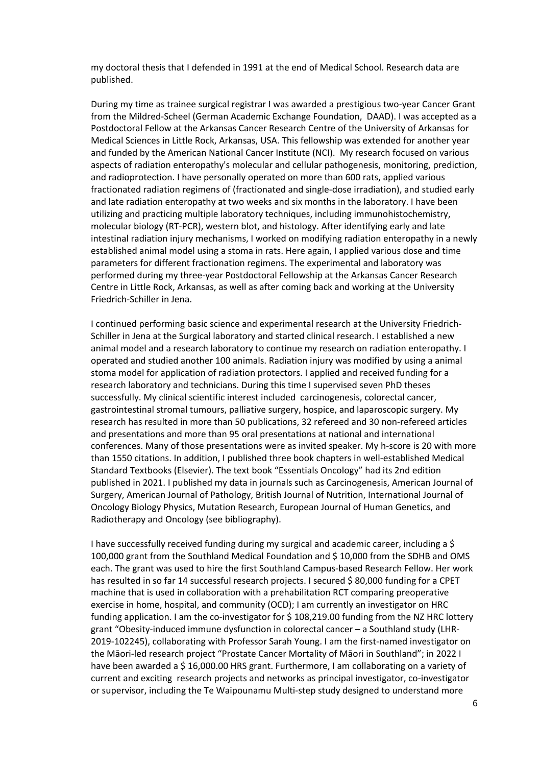my doctoral thesis that I defended in 1991 at the end of Medical School. Research data are published.

During my time as trainee surgical registrar I was awarded a prestigious two-year Cancer Grant from the Mildred-Scheel (German Academic Exchange Foundation, DAAD). I was accepted as a Postdoctoral Fellow at the Arkansas Cancer Research Centre of the University of Arkansas for Medical Sciences in Little Rock, Arkansas, USA. This fellowship was extended for another year and funded by the American National Cancer Institute (NCI). My research focused on various aspects of radiation enteropathy's molecular and cellular pathogenesis, monitoring, prediction, and radioprotection. I have personally operated on more than 600 rats, applied various fractionated radiation regimens of (fractionated and single-dose irradiation), and studied early and late radiation enteropathy at two weeks and six months in the laboratory. I have been utilizing and practicing multiple laboratory techniques, including immunohistochemistry, molecular biology (RT-PCR), western blot, and histology. After identifying early and late intestinal radiation injury mechanisms, I worked on modifying radiation enteropathy in a newly established animal model using a stoma in rats. Here again, I applied various dose and time parameters for different fractionation regimens. The experimental and laboratory was performed during my three-year Postdoctoral Fellowship at the Arkansas Cancer Research Centre in Little Rock, Arkansas, as well as after coming back and working at the University Friedrich-Schiller in Jena.

I continued performing basic science and experimental research at the University Friedrich-Schiller in Jena at the Surgical laboratory and started clinical research. I established a new animal model and a research laboratory to continue my research on radiation enteropathy. I operated and studied another 100 animals. Radiation injury was modified by using a animal stoma model for application of radiation protectors. I applied and received funding for a research laboratory and technicians. During this time I supervised seven PhD theses successfully. My clinical scientific interest included carcinogenesis, colorectal cancer, gastrointestinal stromal tumours, palliative surgery, hospice, and laparoscopic surgery. My research has resulted in more than 50 publications, 32 refereed and 30 non-refereed articles and presentations and more than 95 oral presentations at national and international conferences. Many of those presentations were as invited speaker. My h-score is 20 with more than 1550 citations. In addition, I published three book chapters in well-established Medical Standard Textbooks (Elsevier). The text book "Essentials Oncology" had its 2nd edition published in 2021. I published my data in journals such as Carcinogenesis, American Journal of Surgery, American Journal of Pathology, British Journal of Nutrition, International Journal of Oncology Biology Physics, Mutation Research, European Journal of Human Genetics, and Radiotherapy and Oncology (see bibliography).

I have successfully received funding during my surgical and academic career, including a \$ 100,000 grant from the Southland Medical Foundation and \$ 10,000 from the SDHB and OMS each. The grant was used to hire the first Southland Campus-based Research Fellow. Her work has resulted in so far 14 successful research projects. I secured \$80,000 funding for a CPET machine that is used in collaboration with a prehabilitation RCT comparing preoperative exercise in home, hospital, and community (OCD); I am currently an investigator on HRC funding application. I am the co-investigator for \$108,219.00 funding from the NZ HRC lottery grant "Obesity-induced immune dysfunction in colorectal cancer – a Southland study (LHR-2019-102245), collaborating with Professor Sarah Young. I am the first-named investigator on the Māori-led research project "Prostate Cancer Mortality of Māori in Southland"; in 2022 I have been awarded a \$16,000.00 HRS grant. Furthermore, I am collaborating on a variety of current and exciting research projects and networks as principal investigator, co-investigator or supervisor, including the Te Waipounamu Multi-step study designed to understand more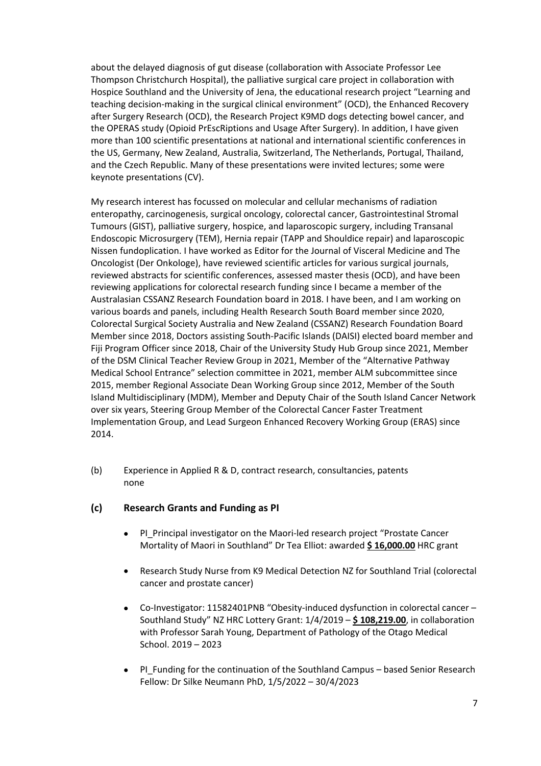about the delayed diagnosis of gut disease (collaboration with Associate Professor Lee Thompson Christchurch Hospital), the palliative surgical care project in collaboration with Hospice Southland and the University of Jena, the educational research project "Learning and teaching decision-making in the surgical clinical environment" (OCD), the Enhanced Recovery after Surgery Research (OCD), the Research Project K9MD dogs detecting bowel cancer, and the OPERAS study (Opioid PrEscRiptions and Usage After Surgery). In addition, I have given more than 100 scientific presentations at national and international scientific conferences in the US, Germany, New Zealand, Australia, Switzerland, The Netherlands, Portugal, Thailand, and the Czech Republic. Many of these presentations were invited lectures; some were keynote presentations (CV).

My research interest has focussed on molecular and cellular mechanisms of radiation enteropathy, carcinogenesis, surgical oncology, colorectal cancer, Gastrointestinal Stromal Tumours (GIST), palliative surgery, hospice, and laparoscopic surgery, including Transanal Endoscopic Microsurgery (TEM), Hernia repair (TAPP and Shouldice repair) and laparoscopic Nissen fundoplication. I have worked as Editor for the Journal of Visceral Medicine and The Oncologist (Der Onkologe), have reviewed scientific articles for various surgical journals, reviewed abstracts for scientific conferences, assessed master thesis (OCD), and have been reviewing applications for colorectal research funding since I became a member of the Australasian CSSANZ Research Foundation board in 2018. I have been, and I am working on various boards and panels, including Health Research South Board member since 2020, Colorectal Surgical Society Australia and New Zealand (CSSANZ) Research Foundation Board Member since 2018, Doctors assisting South-Pacific Islands (DAISI) elected board member and Fiji Program Officer since 2018, Chair of the University Study Hub Group since 2021, Member of the DSM Clinical Teacher Review Group in 2021, Member of the "Alternative Pathway Medical School Entrance" selection committee in 2021, member ALM subcommittee since 2015, member Regional Associate Dean Working Group since 2012, Member of the South Island Multidisciplinary (MDM), Member and Deputy Chair of the South Island Cancer Network over six years, Steering Group Member of the Colorectal Cancer Faster Treatment Implementation Group, and Lead Surgeon Enhanced Recovery Working Group (ERAS) since 2014.

(b) Experience in Applied R & D, contract research, consultancies, patents none

# **(c) Research Grants and Funding as PI**

- PI\_Principal investigator on the Maori-led research project "Prostate Cancer Mortality of Maori in Southland" Dr Tea Elliot: awarded **\$ 16,000.00** HRC grant
- Research Study Nurse from K9 Medical Detection NZ for Southland Trial (colorectal cancer and prostate cancer)
- Co-Investigator: 11582401PNB "Obesity-induced dysfunction in colorectal cancer Southland Study" NZ HRC Lottery Grant: 1/4/2019 – **\$ 108,219.00**, in collaboration with Professor Sarah Young, Department of Pathology of the Otago Medical School. 2019 – 2023
- PI Funding for the continuation of the Southland Campus based Senior Research Fellow: Dr Silke Neumann PhD, 1/5/2022 – 30/4/2023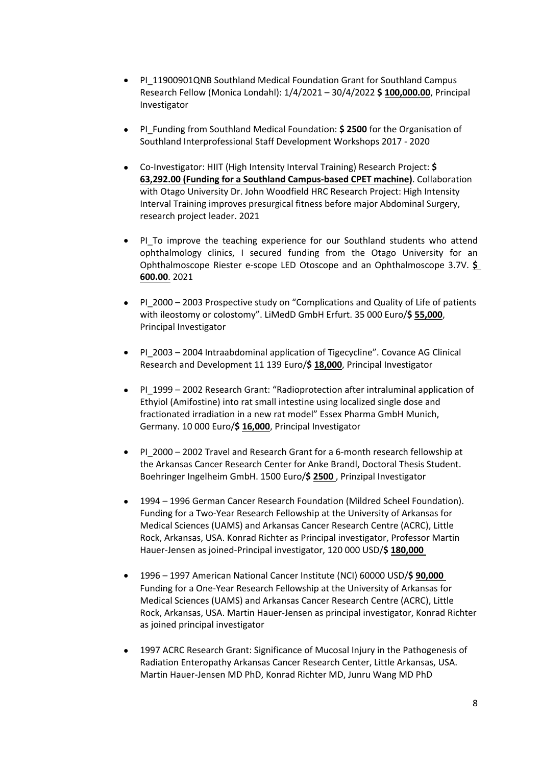- PI\_11900901QNB Southland Medical Foundation Grant for Southland Campus Research Fellow (Monica Londahl): 1/4/2021 – 30/4/2022 **\$ 100,000.00**, Principal Investigator
- **•** PI Funding from Southland Medical Foundation: **\$ 2500** for the Organisation of Southland Interprofessional Staff Development Workshops 2017 - 2020
- Co-Investigator: HIIT (High Intensity Interval Training) Research Project: **\$ 63,292.00 (Funding for a Southland Campus-based CPET machine)**. Collaboration with Otago University Dr. John Woodfield HRC Research Project: High Intensity Interval Training improves presurgical fitness before major Abdominal Surgery, research project leader. 2021
- PI To improve the teaching experience for our Southland students who attend ophthalmology clinics, I secured funding from the Otago University for an Ophthalmoscope Riester e-scope LED Otoscope and an Ophthalmoscope 3.7V. **\$ 600.00**. 2021
- PI\_2000 2003 Prospective study on "Complications and Quality of Life of patients with ileostomy or colostomy". LiMedD GmbH Erfurt. 35 000 Euro/\$ 55,000, Principal Investigator
- PI 2003 2004 Intraabdominal application of Tigecycline". Covance AG Clinical Research and Development 11 139 Euro/**\$ 18,000**, Principal Investigator
- PI 1999 2002 Research Grant: "Radioprotection after intraluminal application of Ethyiol (Amifostine) into rat small intestine using localized single dose and fractionated irradiation in a new rat model" Essex Pharma GmbH Munich, Germany. 10 000 Euro/**\$ 16,000**, Principal Investigator
- PI\_2000 2002 Travel and Research Grant for a 6-month research fellowship at the Arkansas Cancer Research Center for Anke Brandl, Doctoral Thesis Student. Boehringer Ingelheim GmbH. 1500 Euro/**\$ 2500** , Prinzipal Investigator
- 1994 1996 German Cancer Research Foundation (Mildred Scheel Foundation). Funding for a Two-Year Research Fellowship at the University of Arkansas for Medical Sciences (UAMS) and Arkansas Cancer Research Centre (ACRC), Little Rock, Arkansas, USA. Konrad Richter as Principal investigator, Professor Martin Hauer-Jensen as joined-Principal investigator, 120 000 USD/**\$ 180,000**
- 1996 1997 American National Cancer Institute (NCI) 60000 USD/**\$ 90,000**  Funding for a One-Year Research Fellowship at the University of Arkansas for Medical Sciences (UAMS) and Arkansas Cancer Research Centre (ACRC), Little Rock, Arkansas, USA. Martin Hauer-Jensen as principal investigator, Konrad Richter as joined principal investigator
- 1997 ACRC Research Grant: Significance of Mucosal Injury in the Pathogenesis of Radiation Enteropathy Arkansas Cancer Research Center, Little Arkansas, USA. Martin Hauer-Jensen MD PhD, Konrad Richter MD, Junru Wang MD PhD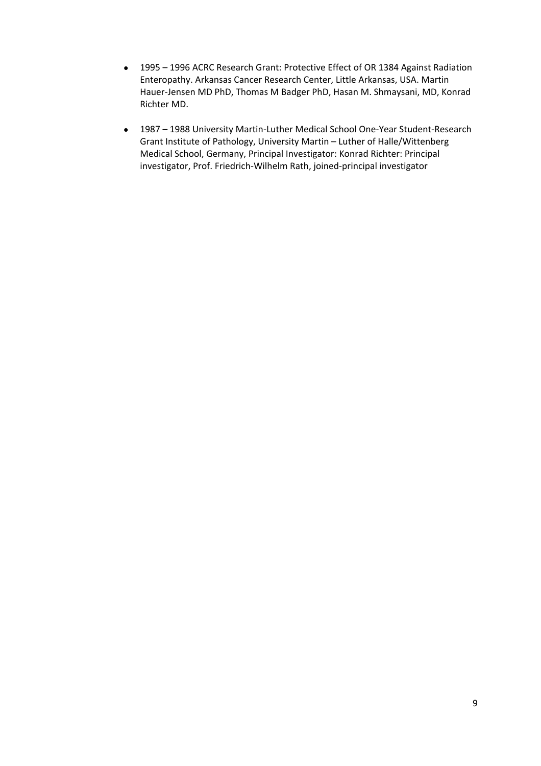- 1995 1996 ACRC Research Grant: Protective Effect of OR 1384 Against Radiation Enteropathy. Arkansas Cancer Research Center, Little Arkansas, USA. Martin Hauer-Jensen MD PhD, Thomas M Badger PhD, Hasan M. Shmaysani, MD, Konrad Richter MD.
- 1987 1988 University Martin-Luther Medical School One-Year Student-Research Grant Institute of Pathology, University Martin – Luther of Halle/Wittenberg Medical School, Germany, Principal Investigator: Konrad Richter: Principal investigator, Prof. Friedrich-Wilhelm Rath, joined-principal investigator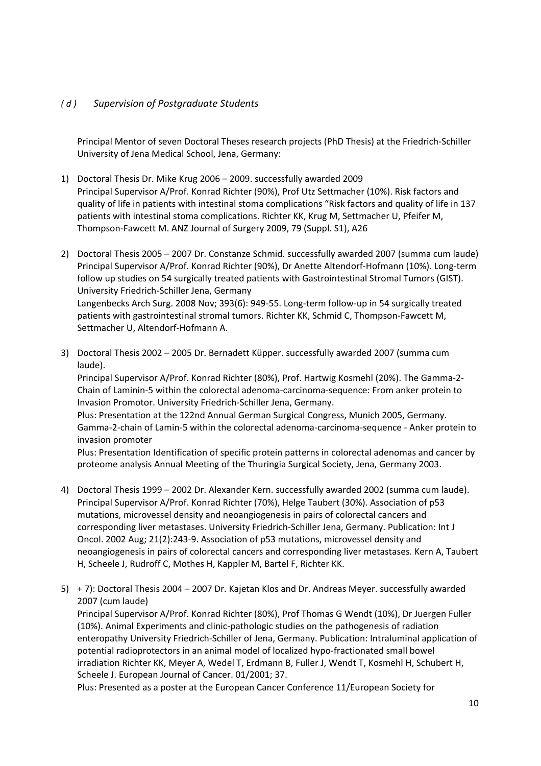# *( d ) Supervision of Postgraduate Students*

Principal Mentor of seven Doctoral Theses research projects (PhD Thesis) at the Friedrich-Schiller University of Jena Medical School, Jena, Germany:

- 1) Doctoral Thesis Dr. Mike Krug 2006 2009. successfully awarded 2009 Principal Supervisor A/Prof. Konrad Richter (90%), Prof Utz Settmacher (10%). Risk factors and quality of life in patients with intestinal stoma complications "Risk factors and quality of life in 137 patients with intestinal stoma complications. Richter KK, Krug M, Settmacher U, Pfeifer M, Thompson-Fawcett M. ANZ Journal of Surgery 2009, 79 (Suppl. S1), A26
- 2) Doctoral Thesis 2005 2007 Dr. Constanze Schmid. successfully awarded 2007 (summa cum laude) Principal Supervisor A/Prof. Konrad Richter (90%), Dr Anette Altendorf-Hofmann (10%). Long-term follow up studies on 54 surgically treated patients with Gastrointestinal Stromal Tumors (GIST). University Friedrich-Schiller Jena, Germany Langenbecks Arch Surg. 2008 Nov; 393(6): 949-55. Long-term follow-up in 54 surgically treated patients with gastrointestinal stromal tumors. Richter KK, Schmid C, Thompson-Fawcett M, Settmacher U, Altendorf-Hofmann A.
- 3) Doctoral Thesis 2002 2005 Dr. Bernadett Küpper. successfully awarded 2007 (summa cum laude).

Principal Supervisor A/Prof. Konrad Richter (80%), Prof. Hartwig Kosmehl (20%). The Gamma-2- Chain of Laminin-5 within the colorectal adenoma-carcinoma-sequence: From anker protein to Invasion Promotor. University Friedrich-Schiller Jena, Germany.

Plus: Presentation at the 122nd Annual German Surgical Congress, Munich 2005, Germany. Gamma-2-chain of Lamin-5 within the colorectal adenoma-carcinoma-sequence - Anker protein to invasion promoter

Plus: Presentation Identification of specific protein patterns in colorectal adenomas and cancer by proteome analysis Annual Meeting of the Thuringia Surgical Society, Jena, Germany 2003.

- 4) Doctoral Thesis 1999 2002 Dr. Alexander Kern. successfully awarded 2002 (summa cum laude). Principal Supervisor A/Prof. Konrad Richter (70%), Helge Taubert (30%). Association of p53 mutations, microvessel density and neoangiogenesis in pairs of colorectal cancers and corresponding liver metastases. University Friedrich-Schiller Jena, Germany. Publication: Int J Oncol. 2002 Aug; 21(2):243-9. Association of p53 mutations, microvessel density and neoangiogenesis in pairs of colorectal cancers and corresponding liver metastases. Kern A, Taubert H, Scheele J, Rudroff C, Mothes H, Kappler M, Bartel F, Richter KK.
- 5) + 7): Doctoral Thesis 2004 2007 Dr. Kajetan Klos and Dr. Andreas Meyer. successfully awarded 2007 (cum laude)

Principal Supervisor A/Prof. Konrad Richter (80%), Prof Thomas G Wendt (10%), Dr Juergen Fuller (10%). Animal Experiments and clinic-pathologic studies on the pathogenesis of radiation enteropathy University Friedrich-Schiller of Jena, Germany. Publication: Intraluminal application of potential radioprotectors in an animal model of localized hypo-fractionated small bowel irradiation Richter KK, Meyer A, Wedel T, Erdmann B, Fuller J, Wendt T, Kosmehl H, Schubert H, Scheele J. European Journal of Cancer. 01/2001; 37.

Plus: Presented as a poster at the European Cancer Conference 11/European Society for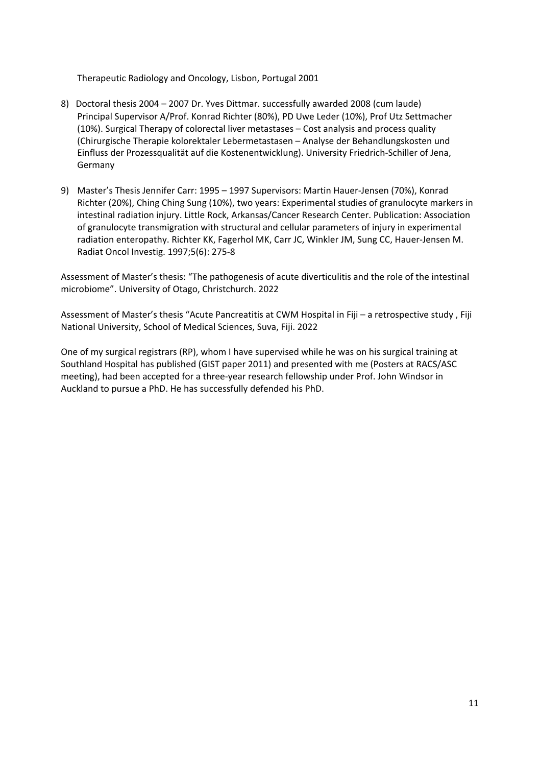Therapeutic Radiology and Oncology, Lisbon, Portugal 2001

- 8) Doctoral thesis 2004 2007 Dr. Yves Dittmar. successfully awarded 2008 (cum laude) Principal Supervisor A/Prof. Konrad Richter (80%), PD Uwe Leder (10%), Prof Utz Settmacher (10%). Surgical Therapy of colorectal liver metastases – Cost analysis and process quality (Chirurgische Therapie kolorektaler Lebermetastasen – Analyse der Behandlungskosten und Einfluss der Prozessqualität auf die Kostenentwicklung). University Friedrich-Schiller of Jena, Germany
- 9) Master's Thesis Jennifer Carr: 1995 1997 Supervisors: Martin Hauer-Jensen (70%), Konrad Richter (20%), Ching Ching Sung (10%), two years: Experimental studies of granulocyte markers in intestinal radiation injury. Little Rock, Arkansas/Cancer Research Center. Publication: Association of granulocyte transmigration with structural and cellular parameters of injury in experimental radiation enteropathy. Richter KK, Fagerhol MK, Carr JC, Winkler JM, Sung CC, Hauer-Jensen M. Radiat Oncol Investig. 1997;5(6): 275-8

Assessment of Master's thesis: "The pathogenesis of acute diverticulitis and the role of the intestinal microbiome". University of Otago, Christchurch. 2022

Assessment of Master's thesis "Acute Pancreatitis at CWM Hospital in Fiji – a retrospective study , Fiji National University, School of Medical Sciences, Suva, Fiji. 2022

One of my surgical registrars (RP), whom I have supervised while he was on his surgical training at Southland Hospital has published (GIST paper 2011) and presented with me (Posters at RACS/ASC meeting), had been accepted for a three-year research fellowship under Prof. John Windsor in Auckland to pursue a PhD. He has successfully defended his PhD.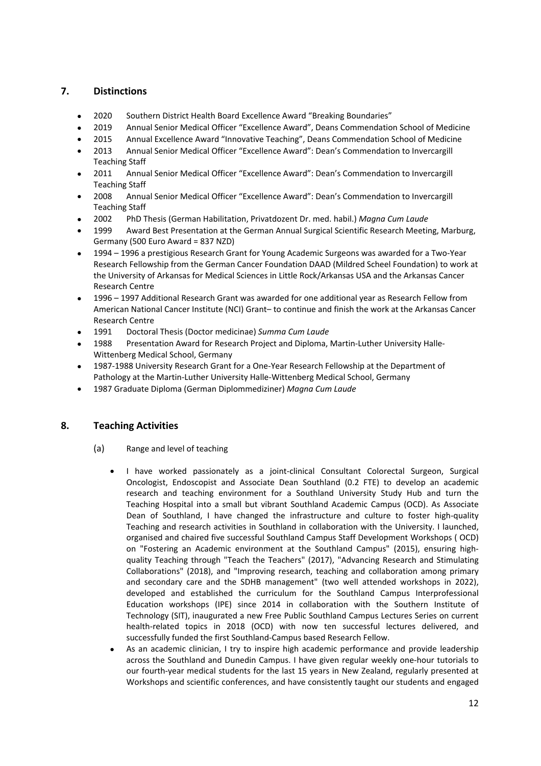# **7. Distinctions**

- 2020 Southern District Health Board Excellence Award "Breaking Boundaries"
- 2019 Annual Senior Medical Officer "Excellence Award", Deans Commendation School of Medicine
- 2015 Annual Excellence Award "Innovative Teaching", Deans Commendation School of Medicine
- 2013 Annual Senior Medical Officer "Excellence Award": Dean's Commendation to Invercargill Teaching Staff
- 2011 Annual Senior Medical Officer "Excellence Award": Dean's Commendation to Invercargill Teaching Staff
- 2008 Annual Senior Medical Officer "Excellence Award": Dean's Commendation to Invercargill Teaching Staff
- 2002 PhD Thesis (German Habilitation, Privatdozent Dr. med. habil.) *Magna Cum Laude*
- 1999 Award Best Presentation at the German Annual Surgical Scientific Research Meeting, Marburg, Germany (500 Euro Award = 837 NZD)
- 1994 1996 a prestigious Research Grant for Young Academic Surgeons was awarded for a Two-Year Research Fellowship from the German Cancer Foundation DAAD (Mildred Scheel Foundation) to work at the University of Arkansas for Medical Sciences in Little Rock/Arkansas USA and the Arkansas Cancer Research Centre
- 1996 1997 Additional Research Grant was awarded for one additional year as Research Fellow from American National Cancer Institute (NCI) Grant– to continue and finish the work at the Arkansas Cancer Research Centre
- 1991 Doctoral Thesis (Doctor medicinae) *Summa Cum Laude*
- 1988 Presentation Award for Research Project and Diploma, Martin-Luther University Halle-Wittenberg Medical School, Germany
- 1987-1988 University Research Grant for a One-Year Research Fellowship at the Department of Pathology at the Martin-Luther University Halle-Wittenberg Medical School, Germany
- 1987 Graduate Diploma (German Diplommediziner) *Magna Cum Laude*

# **8. Teaching Activities**

- (a) Range and level of teaching
	- I have worked passionately as a joint-clinical Consultant Colorectal Surgeon, Surgical Oncologist, Endoscopist and Associate Dean Southland (0.2 FTE) to develop an academic research and teaching environment for a Southland University Study Hub and turn the Teaching Hospital into a small but vibrant Southland Academic Campus (OCD). As Associate Dean of Southland, I have changed the infrastructure and culture to foster high-quality Teaching and research activities in Southland in collaboration with the University. I launched, organised and chaired five successful Southland Campus Staff Development Workshops ( OCD) on "Fostering an Academic environment at the Southland Campus" (2015), ensuring highquality Teaching through "Teach the Teachers" (2017), "Advancing Research and Stimulating Collaborations" (2018), and "Improving research, teaching and collaboration among primary and secondary care and the SDHB management" (two well attended workshops in 2022), developed and established the curriculum for the Southland Campus Interprofessional Education workshops (IPE) since 2014 in collaboration with the Southern Institute of Technology (SIT), inaugurated a new Free Public Southland Campus Lectures Series on current health-related topics in 2018 (OCD) with now ten successful lectures delivered, and successfully funded the first Southland-Campus based Research Fellow.
	- As an academic clinician, I try to inspire high academic performance and provide leadership across the Southland and Dunedin Campus. I have given regular weekly one-hour tutorials to our fourth-year medical students for the last 15 years in New Zealand, regularly presented at Workshops and scientific conferences, and have consistently taught our students and engaged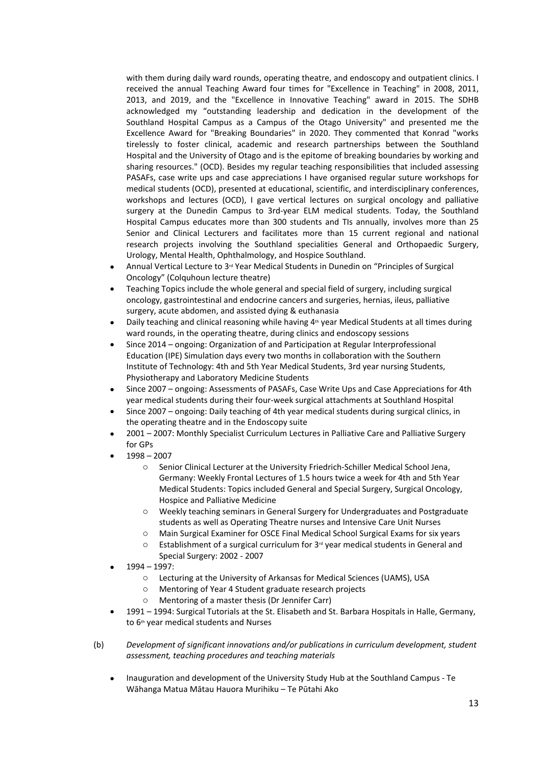with them during daily ward rounds, operating theatre, and endoscopy and outpatient clinics. I received the annual Teaching Award four times for "Excellence in Teaching" in 2008, 2011, 2013, and 2019, and the "Excellence in Innovative Teaching" award in 2015. The SDHB acknowledged my "outstanding leadership and dedication in the development of the Southland Hospital Campus as a Campus of the Otago University" and presented me the Excellence Award for "Breaking Boundaries" in 2020. They commented that Konrad "works tirelessly to foster clinical, academic and research partnerships between the Southland Hospital and the University of Otago and is the epitome of breaking boundaries by working and sharing resources." (OCD). Besides my regular teaching responsibilities that included assessing PASAFs, case write ups and case appreciations I have organised regular suture workshops for medical students (OCD), presented at educational, scientific, and interdisciplinary conferences, workshops and lectures (OCD), I gave vertical lectures on surgical oncology and palliative surgery at the Dunedin Campus to 3rd-year ELM medical students. Today, the Southland Hospital Campus educates more than 300 students and TIs annually, involves more than 25 Senior and Clinical Lecturers and facilitates more than 15 current regional and national research projects involving the Southland specialities General and Orthopaedic Surgery, Urology, Mental Health, Ophthalmology, and Hospice Southland.

- Annual Vertical Lecture to 3rd Year Medical Students in Dunedin on "Principles of Surgical Oncology" (Colquhoun lecture theatre)
- Teaching Topics include the whole general and special field of surgery, including surgical oncology, gastrointestinal and endocrine cancers and surgeries, hernias, ileus, palliative surgery, acute abdomen, and assisted dying & euthanasia
- Daily teaching and clinical reasoning while having 4<sup>th</sup> year Medical Students at all times during ward rounds, in the operating theatre, during clinics and endoscopy sessions
- Since 2014 ongoing: Organization of and Participation at Regular Interprofessional Education (IPE) Simulation days every two months in collaboration with the Southern Institute of Technology: 4th and 5th Year Medical Students, 3rd year nursing Students, Physiotherapy and Laboratory Medicine Students
- Since 2007 ongoing: Assessments of PASAFs, Case Write Ups and Case Appreciations for 4th year medical students during their four-week surgical attachments at Southland Hospital
- Since 2007 ongoing: Daily teaching of 4th year medical students during surgical clinics, in the operating theatre and in the Endoscopy suite
- 2001 2007: Monthly Specialist Curriculum Lectures in Palliative Care and Palliative Surgery for GPs
- 1998 2007
	- o Senior Clinical Lecturer at the University Friedrich-Schiller Medical School Jena, Germany: Weekly Frontal Lectures of 1.5 hours twice a week for 4th and 5th Year Medical Students: Topics included General and Special Surgery, Surgical Oncology, Hospice and Palliative Medicine
	- o Weekly teaching seminars in General Surgery for Undergraduates and Postgraduate students as well as Operating Theatre nurses and Intensive Care Unit Nurses
	- o Main Surgical Examiner for OSCE Final Medical School Surgical Exams for six years
	- $\circ$  Establishment of a surgical curriculum for 3<sup>rd</sup> year medical students in General and Special Surgery: 2002 - 2007
- 1994 1997:
	- o Lecturing at the University of Arkansas for Medical Sciences (UAMS), USA
	- o Mentoring of Year 4 Student graduate research projects
	- o Mentoring of a master thesis (Dr Jennifer Carr)
- 1991 1994: Surgical Tutorials at the St. Elisabeth and St. Barbara Hospitals in Halle, Germany, to 6<sup>th</sup> year medical students and Nurses
- (b) *Development of significant innovations and/or publications in curriculum development, student assessment, teaching procedures and teaching materials*
	- Inauguration and development of the University Study Hub at the Southland Campus Te Wāhanga Matua Mātau Hauora Murihiku – Te Pūtahi Ako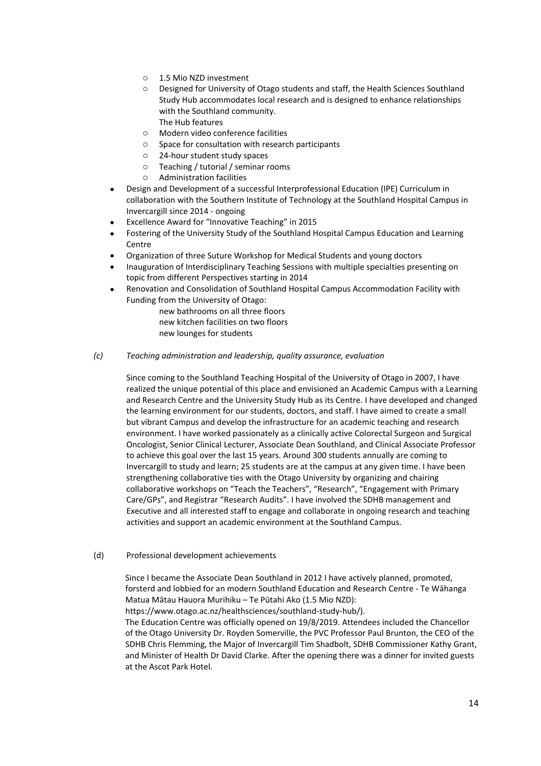- o 1.5 Mio NZD investment
- o Designed for University of Otago students and staff, the Health Sciences Southland Study Hub accommodates local research and is designed to enhance relationships with the Southland community. The Hub features
- o Modern video conference facilities
- o Space for consultation with research participants
- o 24-hour student study spaces
- o Teaching / tutorial / seminar rooms
- o Administration facilities
- Design and Development of a successful Interprofessional Education (IPE) Curriculum in collaboration with the Southern Institute of Technology at the Southland Hospital Campus in Invercargill since 2014 - ongoing
- Excellence Award for "Innovative Teaching" in 2015
- Fostering of the University Study of the Southland Hospital Campus Education and Learning **Centre**
- Organization of three Suture Workshop for Medical Students and young doctors
- Inauguration of Interdisciplinary Teaching Sessions with multiple specialties presenting on topic from different Perspectives starting in 2014
- Renovation and Consolidation of Southland Hospital Campus Accommodation Facility with Funding from the University of Otago:
	- new bathrooms on all three floors new kitchen facilities on two floors new lounges for students
- *(c) Teaching administration and leadership, quality assurance, evaluation*

Since coming to the Southland Teaching Hospital of the University of Otago in 2007, I have realized the unique potential of this place and envisioned an Academic Campus with a Learning and Research Centre and the University Study Hub as its Centre. I have developed and changed the learning environment for our students, doctors, and staff. I have aimed to create a small but vibrant Campus and develop the infrastructure for an academic teaching and research environment. I have worked passionately as a clinically active Colorectal Surgeon and Surgical Oncologist, Senior Clinical Lecturer, Associate Dean Southland, and Clinical Associate Professor to achieve this goal over the last 15 years. Around 300 students annually are coming to Invercargill to study and learn; 25 students are at the campus at any given time. I have been strengthening collaborative ties with the Otago University by organizing and chairing collaborative workshops on "Teach the Teachers", "Research", "Engagement with Primary Care/GPs", and Registrar "Research Audits". I have involved the SDHB management and Executive and all interested staff to engage and collaborate in ongoing research and teaching activities and support an academic environment at the Southland Campus.

(d) Professional development achievements

Since I became the Associate Dean Southland in 2012 I have actively planned, promoted, forsterd and lobbied for an modern Southland Education and Research Centre - Te Wāhanga Matua Mātau Hauora Murihiku – Te Pūtahi Ako (1.5 Mio NZD):

https://www.otago.ac.nz/healthsciences/southland-study-hub/).

The Education Centre was officially opened on 19/8/2019. Attendees included the Chancellor of the Otago University Dr. Royden Somerville, the PVC Professor Paul Brunton, the CEO of the SDHB Chris Flemming, the Major of Invercargill Tim Shadbolt, SDHB Commissioner Kathy Grant, and Minister of Health Dr David Clarke. After the opening there was a dinner for invited guests at the Ascot Park Hotel.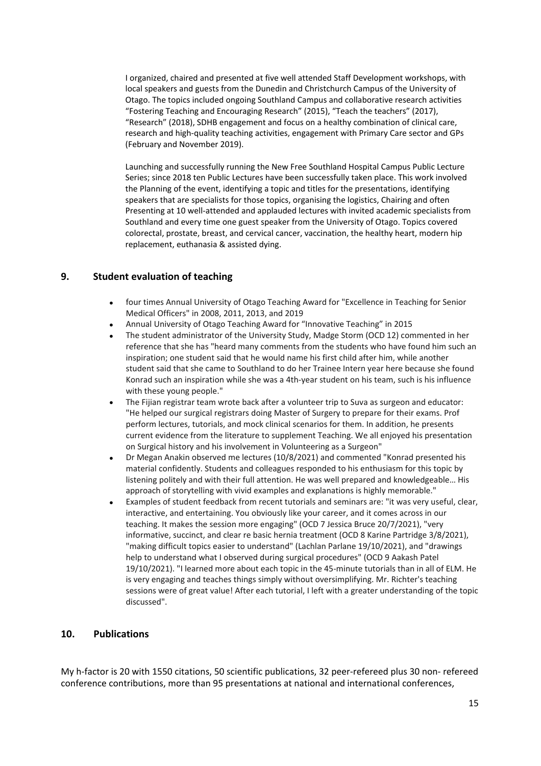I organized, chaired and presented at five well attended Staff Development workshops, with local speakers and guests from the Dunedin and Christchurch Campus of the University of Otago. The topics included ongoing Southland Campus and collaborative research activities "Fostering Teaching and Encouraging Research" (2015), "Teach the teachers" (2017), "Research" (2018), SDHB engagement and focus on a healthy combination of clinical care, research and high-quality teaching activities, engagement with Primary Care sector and GPs (February and November 2019).

Launching and successfully running the New Free Southland Hospital Campus Public Lecture Series; since 2018 ten Public Lectures have been successfully taken place. This work involved the Planning of the event, identifying a topic and titles for the presentations, identifying speakers that are specialists for those topics, organising the logistics, Chairing and often Presenting at 10 well-attended and applauded lectures with invited academic specialists from Southland and every time one guest speaker from the University of Otago. Topics covered colorectal, prostate, breast, and cervical cancer, vaccination, the healthy heart, modern hip replacement, euthanasia & assisted dying.

#### **9. Student evaluation of teaching**

- four times Annual University of Otago Teaching Award for "Excellence in Teaching for Senior Medical Officers" in 2008, 2011, 2013, and 2019
- Annual University of Otago Teaching Award for "Innovative Teaching" in 2015
- The student administrator of the University Study, Madge Storm (OCD 12) commented in her reference that she has "heard many comments from the students who have found him such an inspiration; one student said that he would name his first child after him, while another student said that she came to Southland to do her Trainee Intern year here because she found Konrad such an inspiration while she was a 4th-year student on his team, such is his influence with these young people."
- The Fijian registrar team wrote back after a volunteer trip to Suva as surgeon and educator: "He helped our surgical registrars doing Master of Surgery to prepare for their exams. Prof perform lectures, tutorials, and mock clinical scenarios for them. In addition, he presents current evidence from the literature to supplement Teaching. We all enjoyed his presentation on Surgical history and his involvement in Volunteering as a Surgeon"
- Dr Megan Anakin observed me lectures (10/8/2021) and commented "Konrad presented his material confidently. Students and colleagues responded to his enthusiasm for this topic by listening politely and with their full attention. He was well prepared and knowledgeable… His approach of storytelling with vivid examples and explanations is highly memorable."
- Examples of student feedback from recent tutorials and seminars are: "it was very useful, clear, interactive, and entertaining. You obviously like your career, and it comes across in our teaching. It makes the session more engaging" (OCD 7 Jessica Bruce 20/7/2021), "very informative, succinct, and clear re basic hernia treatment (OCD 8 Karine Partridge 3/8/2021), "making difficult topics easier to understand" (Lachlan Parlane 19/10/2021), and "drawings help to understand what I observed during surgical procedures" (OCD 9 Aakash Patel 19/10/2021). "I learned more about each topic in the 45-minute tutorials than in all of ELM. He is very engaging and teaches things simply without oversimplifying. Mr. Richter's teaching sessions were of great value! After each tutorial, I left with a greater understanding of the topic discussed".

#### **10. Publications**

My h-factor is 20 with 1550 citations, 50 scientific publications, 32 peer-refereed plus 30 non- refereed conference contributions, more than 95 presentations at national and international conferences,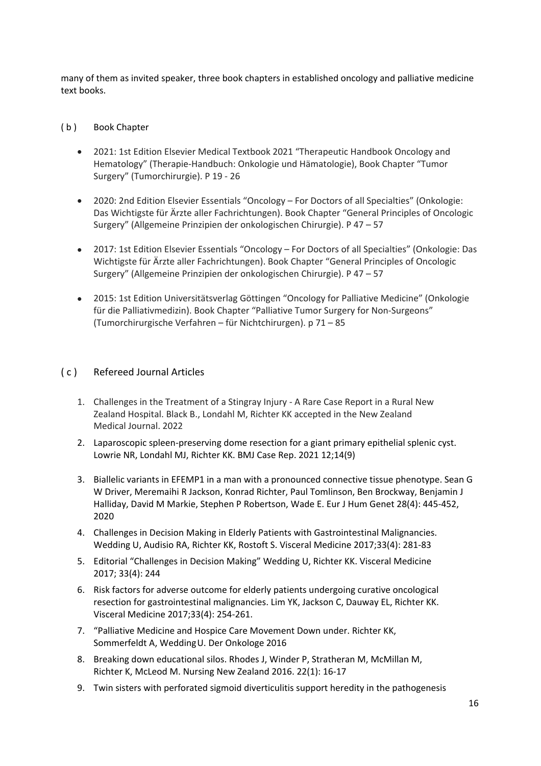many of them as invited speaker, three book chapters in established oncology and palliative medicine text books.

### (b) Book Chapter

- 2021: 1st Edition Elsevier Medical Textbook 2021 "Therapeutic Handbook Oncology and Hematology" (Therapie-Handbuch: Onkologie und Hämatologie), Book Chapter "Tumor Surgery" (Tumorchirurgie). P 19 - 26
- 2020: 2nd Edition Elsevier Essentials "Oncology For Doctors of all Specialties" (Onkologie: Das Wichtigste für Ärzte aller Fachrichtungen). Book Chapter "General Principles of Oncologic Surgery" (Allgemeine Prinzipien der onkologischen Chirurgie). P 47 – 57
- 2017: 1st Edition Elsevier Essentials "Oncology For Doctors of all Specialties" (Onkologie: Das Wichtigste für Ärzte aller Fachrichtungen). Book Chapter "General Principles of Oncologic Surgery" (Allgemeine Prinzipien der onkologischen Chirurgie). P 47 – 57
- 2015: 1st Edition Universitätsverlag Göttingen "Oncology for Palliative Medicine" (Onkologie für die Palliativmedizin). Book Chapter "Palliative Tumor Surgery for Non-Surgeons" (Tumorchirurgische Verfahren – für Nichtchirurgen). p 71 – 85

# ( c ) Refereed Journal Articles

- 1. Challenges in the Treatment of a Stingray Injury A Rare Case Report in a Rural New Zealand Hospital. Black B., Londahl M, Richter KK accepted in the New Zealand Medical Journal. 2022
- 2. Laparoscopic spleen-preserving dome resection for a giant primary epithelial splenic cyst. Lowrie NR, Londahl MJ, Richter KK. BMJ Case Rep. 2021 12;14(9)
- 3. Biallelic variants in EFEMP1 in a man with a pronounced connective tissue phenotype. Sean G W Driver, Meremaihi R Jackson, Konrad Richter, Paul Tomlinson, Ben Brockway, Benjamin J Halliday, David M Markie, Stephen P Robertson, Wade E. Eur J Hum Genet 28(4): 445-452, 2020
- 4. Challenges in Decision Making in Elderly Patients with Gastrointestinal Malignancies. Wedding U, Audisio RA, Richter KK, Rostoft S. Visceral Medicine 2017;33(4): 281-83
- 5. Editorial "Challenges in Decision Making" Wedding U, Richter KK. Visceral Medicine 2017; 33(4): 244
- 6. Risk factors for adverse outcome for elderly patients undergoing curative oncological resection for gastrointestinal malignancies. Lim YK, Jackson C, Dauway EL, Richter KK. Visceral Medicine 2017;33(4): 254-261.
- 7. "Palliative Medicine and Hospice Care Movement Down under. Richter KK, Sommerfeldt A, WeddingU. Der Onkologe 2016
- 8. Breaking down educational silos. Rhodes J, Winder P, Stratheran M, McMillan M, Richter K, McLeod M. Nursing New Zealand 2016. 22(1): 16-17
- 9. Twin sisters with perforated sigmoid diverticulitis support heredity in the pathogenesis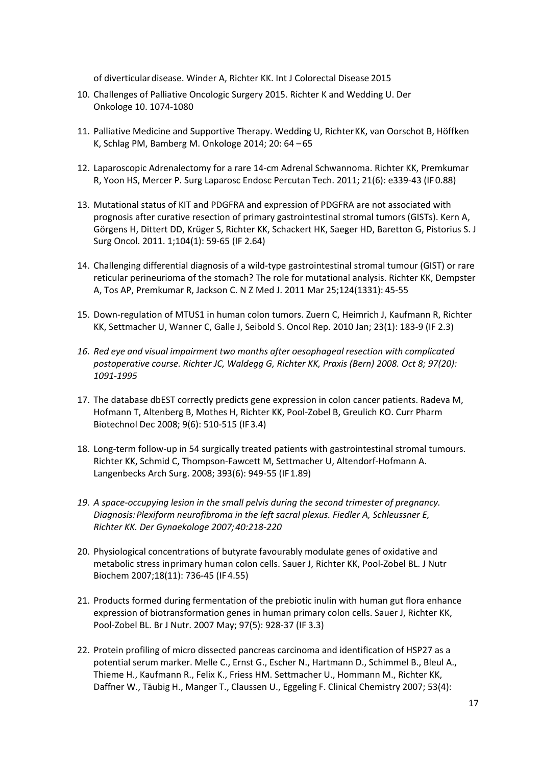of diverticulardisease. Winder A, Richter KK. Int J Colorectal Disease 2015

- 10. Challenges of Palliative Oncologic Surgery 2015. Richter K and Wedding U. Der Onkologe 10. 1074-1080
- 11. Palliative Medicine and Supportive Therapy. Wedding U, Richter KK, van Oorschot B, Höffken K, Schlag PM, Bamberg M. Onkologe 2014; 20: 64 – 65
- 12. Laparoscopic Adrenalectomy for a rare 14-cm Adrenal Schwannoma. Richter KK, Premkumar R, Yoon HS, Mercer P. Surg Laparosc Endosc Percutan Tech. 2011; 21(6): e339-43 (IF 0.88)
- 13. Mutational status of KIT and PDGFRA and expression of PDGFRA are not associated with prognosis after curative resection of primary gastrointestinal stromal tumors (GISTs). Kern A, Görgens H, Dittert DD, Krüger S, Richter KK, Schackert HK, Saeger HD, Baretton G, Pistorius S. J Surg Oncol. 2011. 1;104(1): 59-65 (IF 2.64)
- 14. Challenging differential diagnosis of a wild-type gastrointestinal stromal tumour (GIST) or rare reticular perineurioma of the stomach? The role for mutational analysis. Richter KK, Dempster A, Tos AP, Premkumar R, Jackson C. N Z Med J. 2011 Mar 25;124(1331): 45-55
- 15. Down-regulation of MTUS1 in human colon tumors. Zuern C, Heimrich J, Kaufmann R, Richter KK, Settmacher U, Wanner C, Galle J, Seibold S. Oncol Rep. 2010 Jan; 23(1): 183-9 (IF 2.3)
- *16. Red eye and visual impairment two months after oesophageal resection with complicated postoperative course. Richter JC, Waldegg G, Richter KK, Praxis (Bern) 2008. Oct 8; 97(20): 1091-1995*
- 17. The database dbEST correctly predicts gene expression in colon cancer patients. Radeva M, Hofmann T, Altenberg B, Mothes H, Richter KK, Pool-Zobel B, Greulich KO. Curr Pharm Biotechnol Dec 2008; 9(6): 510-515 (IF 3.4)
- 18. Long-term follow-up in 54 surgically treated patients with gastrointestinal stromal tumours. Richter KK, Schmid C, Thompson-Fawcett M, Settmacher U, Altendorf-Hofmann A. Langenbecks Arch Surg. 2008; 393(6): 949-55 (IF 1.89)
- *19. A space-occupying lesion in the small pelvis during the second trimester of pregnancy. Diagnosis:Plexiform neurofibroma in the left sacral plexus. Fiedler A, Schleussner E, Richter KK. Der Gynaekologe 2007;40:218-220*
- 20. Physiological concentrations of butyrate favourably modulate genes of oxidative and metabolic stress inprimary human colon cells. Sauer J, Richter KK, Pool-Zobel BL. J Nutr Biochem 2007;18(11): 736-45 (IF 4.55)
- 21. Products formed during fermentation of the prebiotic inulin with human gut flora enhance expression of biotransformation genes in human primary colon cells. Sauer J, Richter KK, Pool-Zobel BL. Br J Nutr. 2007 May; 97(5): 928-37 (IF 3.3)
- 22. Protein profiling of micro dissected pancreas carcinoma and identification of HSP27 as a potential serum marker. Melle C., Ernst G., Escher N., Hartmann D., Schimmel B., Bleul A., Thieme H., Kaufmann R., Felix K., Friess HM. Settmacher U., Hommann M., Richter KK, Daffner W., Täubig H., Manger T., Claussen U., Eggeling F. Clinical Chemistry 2007; 53(4):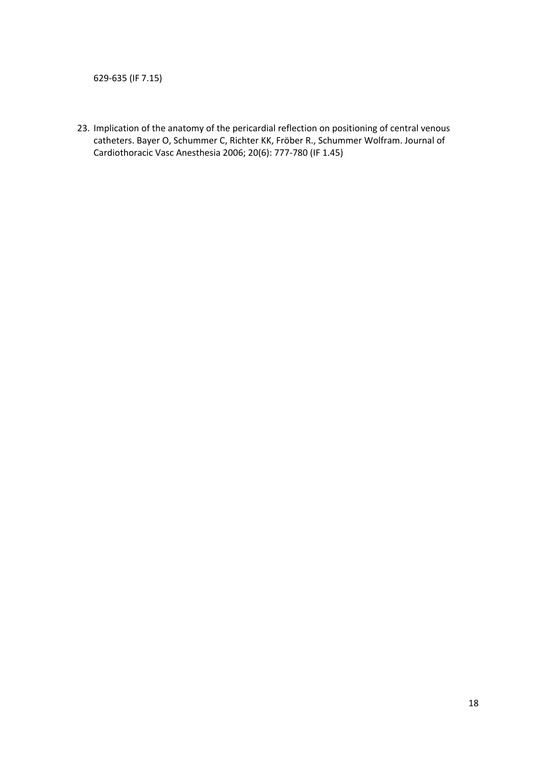629-635 (IF 7.15)

23. Implication of the anatomy of the pericardial reflection on positioning of central venous catheters. Bayer O, Schummer C, Richter KK, Fröber R., Schummer Wolfram. Journal of Cardiothoracic Vasc Anesthesia 2006; 20(6): 777-780 (IF 1.45)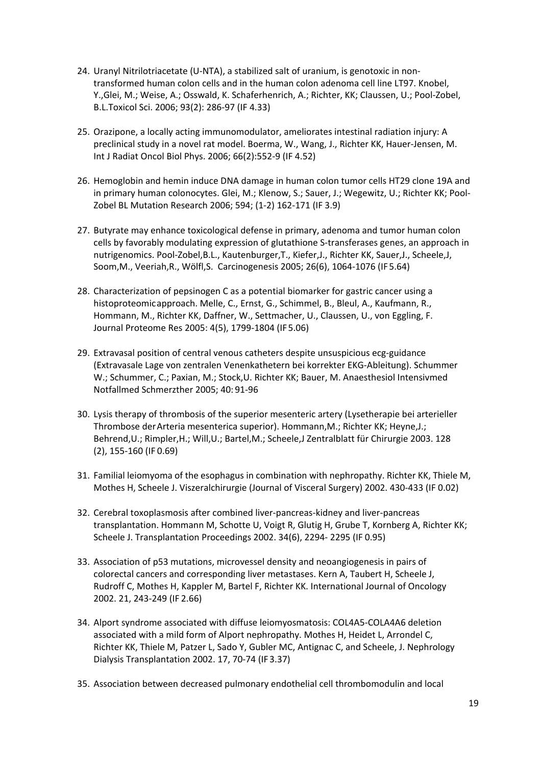- 24. Uranyl Nitrilotriacetate (U-NTA), a stabilized salt of uranium, is genotoxic in nontransformed human colon cells and in the human colon adenoma cell line LT97. Knobel, Y.,Glei, M.; Weise, A.; Osswald, K. Schaferhenrich, A.; Richter, KK; Claussen, U.; Pool-Zobel, B.L.Toxicol Sci. 2006; 93(2): 286-97 (IF 4.33)
- 25. Orazipone, a locally acting immunomodulator, ameliorates intestinal radiation injury: A preclinical study in a novel rat model. Boerma, W., Wang, J., Richter KK, Hauer-Jensen, M. Int J Radiat Oncol Biol Phys. 2006; 66(2):552-9 (IF 4.52)
- 26. Hemoglobin and hemin induce DNA damage in human colon tumor cells HT29 clone 19A and in primary human colonocytes. Glei, M.; Klenow, S.; Sauer, J.; Wegewitz, U.; Richter KK; Pool-Zobel BL Mutation Research 2006; 594; (1-2) 162-171 (IF 3.9)
- 27. Butyrate may enhance toxicological defense in primary, adenoma and tumor human colon cells by favorably modulating expression of glutathione S-transferases genes, an approach in nutrigenomics. Pool-Zobel,B.L., Kautenburger,T., Kiefer,J., Richter KK, Sauer,J., Scheele,J, Soom,M., Veeriah,R., Wölfl,S. Carcinogenesis 2005; 26(6), 1064-1076 (IF 5.64)
- 28. Characterization of pepsinogen C as a potential biomarker for gastric cancer using a histoproteomicapproach. Melle, C., Ernst, G., Schimmel, B., Bleul, A., Kaufmann, R., Hommann, M., Richter KK, Daffner, W., Settmacher, U., Claussen, U., von Eggling, F. Journal Proteome Res 2005: 4(5), 1799-1804 (IF 5.06)
- 29. Extravasal position of central venous catheters despite unsuspicious ecg-guidance (Extravasale Lage von zentralen Venenkathetern bei korrekter EKG-Ableitung). Schummer W.; Schummer, C.; Paxian, M.; Stock,U. Richter KK; Bauer, M. Anaesthesiol Intensivmed Notfallmed Schmerzther 2005; 40: 91-96
- 30. Lysis therapy of thrombosis of the superior mesenteric artery (Lysetherapie bei arterieller Thrombose derArteria mesenterica superior). Hommann,M.; Richter KK; Heyne,J.; Behrend,U.; Rimpler,H.; Will,U.; Bartel,M.; Scheele,J Zentralblatt für Chirurgie 2003. 128 (2), 155-160 (IF 0.69)
- 31. Familial leiomyoma of the esophagus in combination with nephropathy. Richter KK, Thiele M, Mothes H, Scheele J. Viszeralchirurgie (Journal of Visceral Surgery) 2002. 430-433 (IF 0.02)
- 32. Cerebral toxoplasmosis after combined liver-pancreas-kidney and liver-pancreas transplantation. Hommann M, Schotte U, Voigt R, Glutig H, Grube T, Kornberg A, Richter KK; Scheele J. Transplantation Proceedings 2002. 34(6), 2294- 2295 (IF 0.95)
- 33. Association of p53 mutations, microvessel density and neoangiogenesis in pairs of colorectal cancers and corresponding liver metastases. Kern A, Taubert H, Scheele J, Rudroff C, Mothes H, Kappler M, Bartel F, Richter KK. International Journal of Oncology 2002. 21, 243-249 (IF 2.66)
- 34. Alport syndrome associated with diffuse leiomyosmatosis: COL4A5-COLA4A6 deletion associated with a mild form of Alport nephropathy. Mothes H, Heidet L, Arrondel C, Richter KK, Thiele M, Patzer L, Sado Y, Gubler MC, Antignac C, and Scheele, J. Nephrology Dialysis Transplantation 2002. 17, 70-74 (IF 3.37)
- 35. Association between decreased pulmonary endothelial cell thrombomodulin and local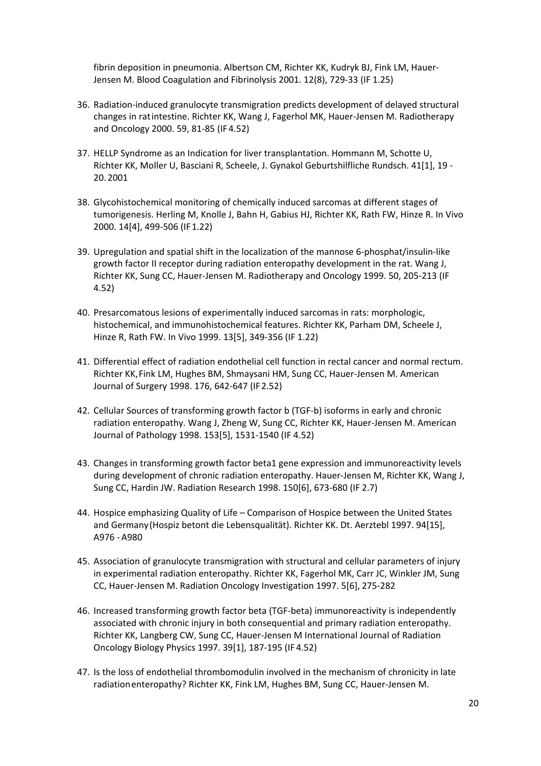fibrin deposition in pneumonia. Albertson CM, Richter KK, Kudryk BJ, Fink LM, Hauer-Jensen M. Blood Coagulation and Fibrinolysis 2001. 12(8), 729-33 (IF 1.25)

- 36. Radiation-induced granulocyte transmigration predicts development of delayed structural changes in ratintestine. Richter KK, Wang J, Fagerhol MK, Hauer-Jensen M. Radiotherapy and Oncology 2000. 59, 81-85 (IF 4.52)
- 37. HELLP Syndrome as an Indication for liver transplantation. Hommann M, Schotte U, Richter KK, Moller U, Basciani R, Scheele, J. Gynakol Geburtshilfliche Rundsch. 41[1], 19 - 20. 2001
- 38. Glycohistochemical monitoring of chemically induced sarcomas at different stages of tumorigenesis. Herling M, Knolle J, Bahn H, Gabius HJ, Richter KK, Rath FW, Hinze R. In Vivo 2000. 14[4], 499-506 (IF 1.22)
- 39. Upregulation and spatial shift in the localization of the mannose 6-phosphat/insulin-like growth factor II receptor during radiation enteropathy development in the rat. Wang J, Richter KK, Sung CC, Hauer-Jensen M. Radiotherapy and Oncology 1999. 50, 205-213 (IF 4.52)
- 40. Presarcomatous lesions of experimentally induced sarcomas in rats: morphologic, histochemical, and immunohistochemical features. Richter KK, Parham DM, Scheele J, Hinze R, Rath FW. In Vivo 1999. 13[5], 349-356 (IF 1.22)
- 41. Differential effect of radiation endothelial cell function in rectal cancer and normal rectum. Richter KK,Fink LM, Hughes BM, Shmaysani HM, Sung CC, Hauer-Jensen M. American Journal of Surgery 1998. 176, 642-647 (IF 2.52)
- 42. Cellular Sources of transforming growth factor b (TGF-b) isoforms in early and chronic radiation enteropathy. Wang J, Zheng W, Sung CC, Richter KK, Hauer-Jensen M. American Journal of Pathology 1998. 153[5], 1531-1540 (IF 4.52)
- 43. Changes in transforming growth factor beta1 gene expression and immunoreactivity levels during development of chronic radiation enteropathy. Hauer-Jensen M, Richter KK, Wang J, Sung CC, Hardin JW. Radiation Research 1998. 150[6], 673-680 (IF 2.7)
- 44. Hospice emphasizing Quality of Life Comparison of Hospice between the United States and Germany(Hospiz betont die Lebensqualität). Richter KK. Dt. Aerztebl 1997. 94[15], A976 - A980
- 45. Association of granulocyte transmigration with structural and cellular parameters of injury in experimental radiation enteropathy. Richter KK, Fagerhol MK, Carr JC, Winkler JM, Sung CC, Hauer-Jensen M. Radiation Oncology Investigation 1997. 5[6], 275-282
- 46. Increased transforming growth factor beta (TGF-beta) immunoreactivity is independently associated with chronic injury in both consequential and primary radiation enteropathy. Richter KK, Langberg CW, Sung CC, Hauer-Jensen M International Journal of Radiation Oncology Biology Physics 1997. 39[1], 187-195 (IF 4.52)
- 47. Is the loss of endothelial thrombomodulin involved in the mechanism of chronicity in late radiationenteropathy? Richter KK, Fink LM, Hughes BM, Sung CC, Hauer-Jensen M.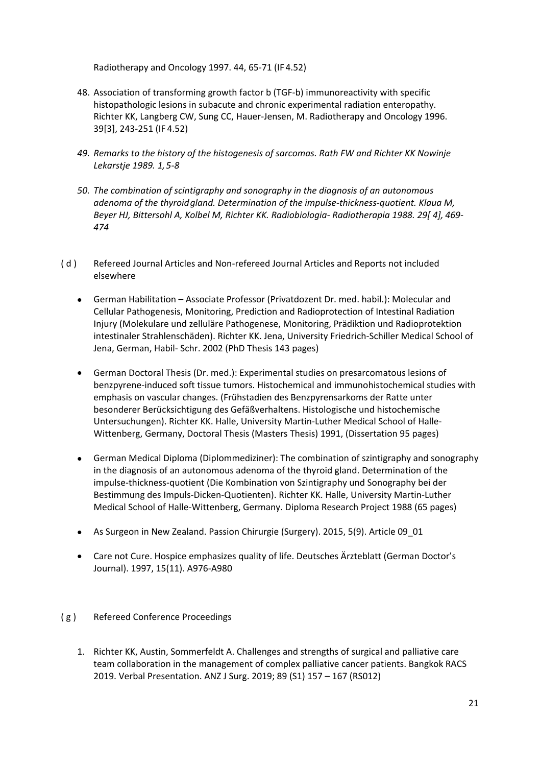Radiotherapy and Oncology 1997. 44, 65-71 (IF 4.52)

- 48. Association of transforming growth factor b (TGF-b) immunoreactivity with specific histopathologic lesions in subacute and chronic experimental radiation enteropathy. Richter KK, Langberg CW, Sung CC, Hauer-Jensen, M. Radiotherapy and Oncology 1996. 39[3], 243-251 (IF 4.52)
- *49. Remarks to the history of the histogenesis of sarcomas. Rath FW and Richter KK Nowinje Lekarstje 1989. 1,5-8*
- *50. The combination of scintigraphy and sonography in the diagnosis of an autonomous adenoma of the thyroidgland. Determination of the impulse-thickness-quotient. Klaua M, Beyer HJ, Bittersohl A, Kolbel M, Richter KK. Radiobiologia- Radiotherapia 1988. 29[ 4], 469- 474*
- ( d ) Refereed Journal Articles and Non-refereed Journal Articles and Reports not included elsewhere
	- German Habilitation Associate Professor (Privatdozent Dr. med. habil.): Molecular and Cellular Pathogenesis, Monitoring, Prediction and Radioprotection of Intestinal Radiation Injury (Molekulare und zelluläre Pathogenese, Monitoring, Prädiktion und Radioprotektion intestinaler Strahlenschäden). Richter KK. Jena, University Friedrich-Schiller Medical School of Jena, German, Habil- Schr. 2002 (PhD Thesis 143 pages)
	- German Doctoral Thesis (Dr. med.): Experimental studies on presarcomatous lesions of benzpyrene-induced soft tissue tumors. Histochemical and immunohistochemical studies with emphasis on vascular changes. (Frühstadien des Benzpyrensarkoms der Ratte unter besonderer Berücksichtigung des Gefäßverhaltens. Histologische und histochemische Untersuchungen). Richter KK. Halle, University Martin-Luther Medical School of Halle-Wittenberg, Germany, Doctoral Thesis (Masters Thesis) 1991, (Dissertation 95 pages)
	- German Medical Diploma (Diplommediziner): The combination of szintigraphy and sonography in the diagnosis of an autonomous adenoma of the thyroid gland. Determination of the impulse-thickness-quotient (Die Kombination von Szintigraphy und Sonography bei der Bestimmung des Impuls-Dicken-Quotienten). Richter KK. Halle, University Martin-Luther Medical School of Halle-Wittenberg, Germany. Diploma Research Project 1988 (65 pages)
	- As Surgeon in New Zealand. Passion Chirurgie (Surgery). 2015, 5(9). Article 09\_01
	- Care not Cure. Hospice emphasizes quality of life. Deutsches Ärzteblatt (German Doctor's Journal). 1997, 15(11). A976-A980
- ( g ) Refereed Conference Proceedings
	- 1. Richter KK, Austin, Sommerfeldt A. Challenges and strengths of surgical and palliative care team collaboration in the management of complex palliative cancer patients. Bangkok RACS 2019. Verbal Presentation. ANZ J Surg. 2019; 89 (S1) 157 – 167 (RS012)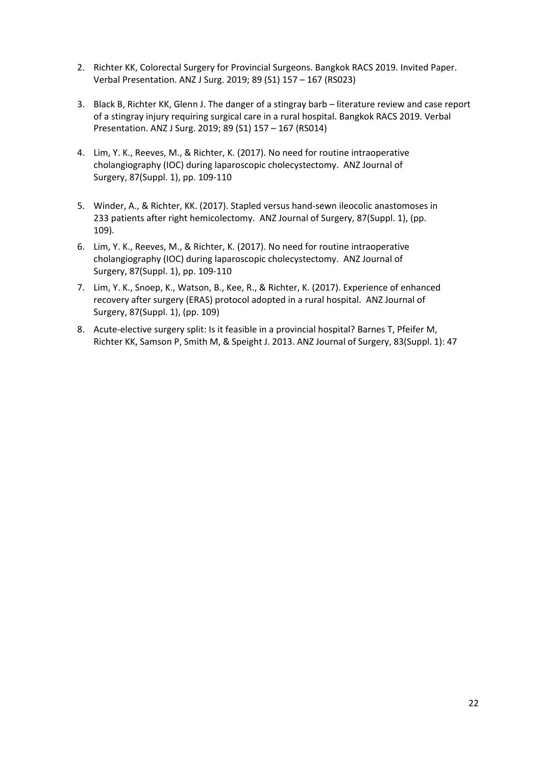- 2. Richter KK, Colorectal Surgery for Provincial Surgeons. Bangkok RACS 2019. Invited Paper. Verbal Presentation. ANZ J Surg. 2019; 89 (S1) 157 – 167 (RS023)
- 3. Black B, Richter KK, Glenn J. The danger of a stingray barb literature review and case report of a stingray injury requiring surgical care in a rural hospital. Bangkok RACS 2019. Verbal Presentation. ANZ J Surg. 2019; 89 (S1) 157 – 167 (RS014)
- 4. Lim, Y. K., Reeves, M., & Richter, K. (2017). No need for routine intraoperative cholangiography (IOC) during laparoscopic cholecystectomy. ANZ Journal of Surgery, 87(Suppl. 1), pp. 109-110
- 5. Winder, A., & Richter, KK. (2017). Stapled versus hand-sewn ileocolic anastomoses in 233 patients after right hemicolectomy. ANZ Journal of Surgery, 87(Suppl. 1), (pp. 109).
- 6. Lim, Y. K., Reeves, M., & Richter, K. (2017). No need for routine intraoperative cholangiography (IOC) during laparoscopic cholecystectomy. ANZ Journal of Surgery, 87(Suppl. 1), pp. 109-110
- 7. Lim, Y. K., Snoep, K., Watson, B., Kee, R., & Richter, K. (2017). Experience of enhanced recovery after surgery (ERAS) protocol adopted in a rural hospital. ANZ Journal of Surgery, 87(Suppl. 1), (pp. 109)
- 8. Acute-elective surgery split: Is it feasible in a provincial hospital? Barnes T, Pfeifer M, Richter KK, Samson P, Smith M, & Speight J. 2013. ANZ Journal of Surgery, 83(Suppl. 1): 47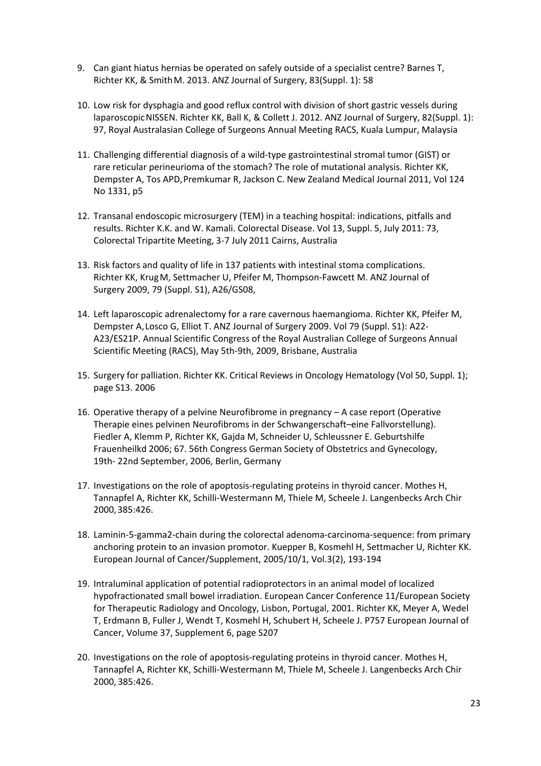- 9. Can giant hiatus hernias be operated on safely outside of a specialist centre? Barnes T, Richter KK, & SmithM. 2013. ANZ Journal of Surgery, 83(Suppl. 1): 58
- 10. Low risk for dysphagia and good reflux control with division of short gastric vessels during laparoscopicNISSEN. Richter KK, Ball K, & Collett J. 2012. ANZ Journal of Surgery, 82(Suppl. 1): 97, Royal Australasian College of Surgeons Annual Meeting RACS, Kuala Lumpur, Malaysia
- 11. Challenging differential diagnosis of a wild-type gastrointestinal stromal tumor (GIST) or rare reticular perineurioma of the stomach? The role of mutational analysis. Richter KK, Dempster A, Tos APD,Premkumar R, Jackson C. New Zealand Medical Journal 2011, Vol 124 No 1331, p5
- 12. Transanal endoscopic microsurgery (TEM) in a teaching hospital: indications, pitfalls and results. Richter K.K. and W. Kamali. Colorectal Disease. Vol 13, Suppl. 5, July 2011: 73, Colorectal Tripartite Meeting, 3-7 July 2011 Cairns, Australia
- 13. Risk factors and quality of life in 137 patients with intestinal stoma complications. Richter KK, KrugM, Settmacher U, Pfeifer M, Thompson-Fawcett M. ANZ Journal of Surgery 2009, 79 (Suppl. S1), A26/GS08,
- 14. Left laparoscopic adrenalectomy for a rare cavernous haemangioma. Richter KK, Pfeifer M, Dempster A,Losco G, Elliot T. ANZ Journal of Surgery 2009. Vol 79 (Suppl. S1): A22- A23/ES21P. Annual Scientific Congress of the Royal Australian College of Surgeons Annual Scientific Meeting (RACS), May 5th-9th, 2009, Brisbane, Australia
- 15. Surgery for palliation. Richter KK. Critical Reviews in Oncology Hematology (Vol 50, Suppl. 1); page S13. 2006
- 16. Operative therapy of a pelvine Neurofibrome in pregnancy A case report (Operative Therapie eines pelvinen Neurofibroms in der Schwangerschaft–eine Fallvorstellung). Fiedler A, Klemm P, Richter KK, Gajda M, Schneider U, Schleussner E. Geburtshilfe Frauenheilkd 2006; 67. 56th Congress German Society of Obstetrics and Gynecology, 19th- 22nd September, 2006, Berlin, Germany
- 17. Investigations on the role of apoptosis-regulating proteins in thyroid cancer. Mothes H, Tannapfel A, Richter KK, Schilli-Westermann M, Thiele M, Scheele J. Langenbecks Arch Chir 2000,385:426.
- 18. Laminin-5-gamma2-chain during the colorectal adenoma-carcinoma-sequence: from primary anchoring protein to an invasion promotor. Kuepper B, Kosmehl H, Settmacher U, Richter KK. European Journal of Cancer/Supplement, 2005/10/1, Vol.3(2), 193-194
- 19. Intraluminal application of potential radioprotectors in an animal model of localized hypofractionated small bowel irradiation. European Cancer Conference 11/European Society for Therapeutic Radiology and Oncology, Lisbon, Portugal, 2001. Richter KK, Meyer A, Wedel T, Erdmann B, Fuller J, Wendt T, Kosmehl H, Schubert H, Scheele J. P757 European Journal of Cancer, Volume 37, Supplement 6, page S207
- 20. Investigations on the role of apoptosis-regulating proteins in thyroid cancer. Mothes H, Tannapfel A, Richter KK, Schilli-Westermann M, Thiele M, Scheele J. Langenbecks Arch Chir 2000, 385:426.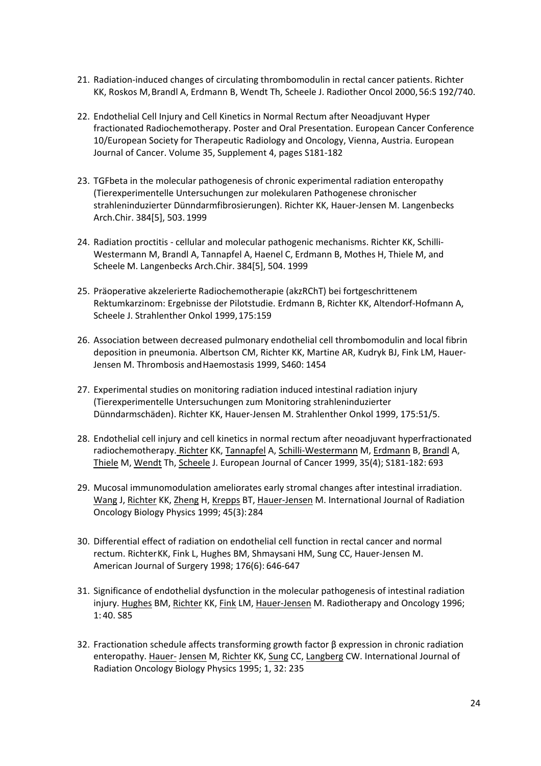- 21. Radiation-induced changes of circulating thrombomodulin in rectal cancer patients. Richter KK, Roskos M,Brandl A, Erdmann B, Wendt Th, Scheele J. Radiother Oncol 2000, 56:S 192/740.
- 22. Endothelial Cell Injury and Cell Kinetics in Normal Rectum after Neoadjuvant Hyper fractionated Radiochemotherapy. Poster and Oral Presentation. European Cancer Conference 10/European Society for Therapeutic Radiology and Oncology, Vienna, Austria. European Journal of Cancer. Volume 35, Supplement 4, pages S181-182
- 23. TGFbeta in the molecular pathogenesis of chronic experimental radiation enteropathy (Tierexperimentelle Untersuchungen zur molekularen Pathogenese chronischer strahleninduzierter Dünndarmfibrosierungen). Richter KK, Hauer-Jensen M. Langenbecks Arch.Chir. 384[5], 503. 1999
- 24. Radiation proctitis cellular and molecular pathogenic mechanisms. Richter KK, Schilli-Westermann M, Brandl A, Tannapfel A, Haenel C, Erdmann B, Mothes H, Thiele M, and Scheele M. Langenbecks Arch.Chir. 384[5], 504. 1999
- 25. Präoperative akzelerierte Radiochemotherapie (akzRChT) bei fortgeschrittenem Rektumkarzinom: Ergebnisse der Pilotstudie. Erdmann B, Richter KK, Altendorf-Hofmann A, Scheele J. Strahlenther Onkol 1999,175:159
- 26. Association between decreased pulmonary endothelial cell thrombomodulin and local fibrin deposition in pneumonia. Albertson CM, Richter KK, Martine AR, Kudryk BJ, Fink LM, Hauer-Jensen M. Thrombosis and Haemostasis 1999, S460: 1454
- 27. Experimental studies on monitoring radiation induced intestinal radiation injury (Tierexperimentelle Untersuchungen zum Monitoring strahleninduzierter Dünndarmschäden). Richter KK, Hauer-Jensen M. Strahlenther Onkol 1999, 175:51/5.
- 28. Endothelial cell injury and cell kinetics in normal rectum after neoadjuvant hyperfractionated radiochemotherapy. Richter KK, Tannapfel A, Schilli-Westermann M, Erdmann B, Brandl A, Thiele M, Wendt Th, Scheele J. European Journal of Cancer 1999, 35(4); S181-182: 693
- 29. Mucosal immunomodulation ameliorates early stromal changes after intestinal irradiation. Wang J, Richter KK, Zheng H, Krepps BT, Hauer-Jensen M. International Journal of Radiation Oncology Biology Physics 1999; 45(3):284
- 30. Differential effect of radiation on endothelial cell function in rectal cancer and normal rectum. RichterKK, Fink L, Hughes BM, Shmaysani HM, Sung CC, Hauer-Jensen M. American Journal of Surgery 1998; 176(6): 646-647
- 31. Significance of endothelial dysfunction in the molecular pathogenesis of intestinal radiation injury. Hughes BM, Richter KK, Fink LM, Hauer-Jensen M. Radiotherapy and Oncology 1996; 1: 40. S85
- 32. Fractionation schedule affects transforming growth factor β expression in chronic radiation enteropathy. Hauer- Jensen M, Richter KK, Sung CC, Langberg CW. International Journal of Radiation Oncology Biology Physics 1995; 1, 32: 235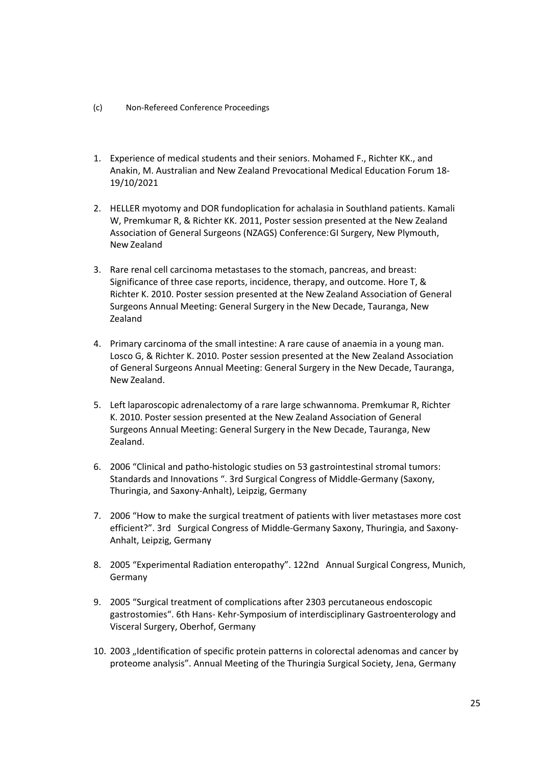- (c) Non-Refereed Conference Proceedings
- 1. Experience of medical students and their seniors. Mohamed F., Richter KK., and Anakin, M. Australian and New Zealand Prevocational Medical Education Forum 18- 19/10/2021
- 2. HELLER myotomy and DOR fundoplication for achalasia in Southland patients. Kamali W, Premkumar R, & Richter KK. 2011, Poster session presented at the New Zealand Association of General Surgeons (NZAGS) Conference:GI Surgery, New Plymouth, New Zealand
- 3. Rare renal cell carcinoma metastases to the stomach, pancreas, and breast: Significance of three case reports, incidence, therapy, and outcome. Hore T, & Richter K. 2010. Poster session presented at the New Zealand Association of General Surgeons Annual Meeting: General Surgery in the New Decade, Tauranga, New Zealand
- 4. Primary carcinoma of the small intestine: A rare cause of anaemia in a young man. Losco G, & Richter K. 2010. Poster session presented at the New Zealand Association of General Surgeons Annual Meeting: General Surgery in the New Decade, Tauranga, New Zealand.
- 5. Left laparoscopic adrenalectomy of a rare large schwannoma. Premkumar R, Richter K. 2010. Poster session presented at the New Zealand Association of General Surgeons Annual Meeting: General Surgery in the New Decade, Tauranga, New Zealand.
- 6. 2006 "Clinical and patho-histologic studies on 53 gastrointestinal stromal tumors: Standards and Innovations ". 3rd Surgical Congress of Middle-Germany (Saxony, Thuringia, and Saxony-Anhalt), Leipzig, Germany
- 7. 2006 "How to make the surgical treatment of patients with liver metastases more cost efficient?". 3rd Surgical Congress of Middle-Germany Saxony, Thuringia, and Saxony-Anhalt, Leipzig, Germany
- 8. 2005 "Experimental Radiation enteropathy". 122nd Annual Surgical Congress, Munich, Germany
- 9. 2005 "Surgical treatment of complications after 2303 percutaneous endoscopic gastrostomies". 6th Hans- Kehr-Symposium of interdisciplinary Gastroenterology and Visceral Surgery, Oberhof, Germany
- 10. 2003 "Identification of specific protein patterns in colorectal adenomas and cancer by proteome analysis". Annual Meeting of the Thuringia Surgical Society, Jena, Germany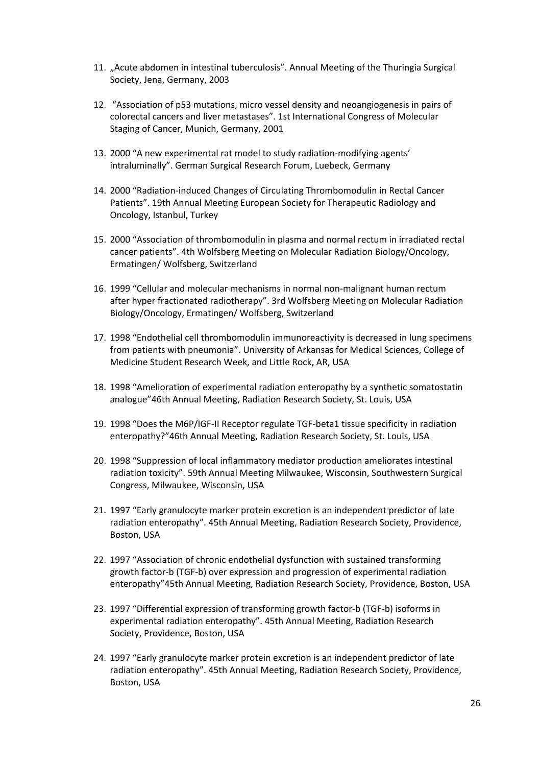- 11. "Acute abdomen in intestinal tuberculosis". Annual Meeting of the Thuringia Surgical Society, Jena, Germany, 2003
- 12. "Association of p53 mutations, micro vessel density and neoangiogenesis in pairs of colorectal cancers and liver metastases". 1st International Congress of Molecular Staging of Cancer, Munich, Germany, 2001
- 13. 2000 "A new experimental rat model to study radiation-modifying agents' intraluminally". German Surgical Research Forum, Luebeck, Germany
- 14. 2000 "Radiation-induced Changes of Circulating Thrombomodulin in Rectal Cancer Patients". 19th Annual Meeting European Society for Therapeutic Radiology and Oncology, Istanbul, Turkey
- 15. 2000 "Association of thrombomodulin in plasma and normal rectum in irradiated rectal cancer patients". 4th Wolfsberg Meeting on Molecular Radiation Biology/Oncology, Ermatingen/ Wolfsberg, Switzerland
- 16. 1999 "Cellular and molecular mechanisms in normal non-malignant human rectum after hyper fractionated radiotherapy". 3rd Wolfsberg Meeting on Molecular Radiation Biology/Oncology, Ermatingen/ Wolfsberg, Switzerland
- 17. 1998 "Endothelial cell thrombomodulin immunoreactivity is decreased in lung specimens from patients with pneumonia". University of Arkansas for Medical Sciences, College of Medicine Student Research Week, and Little Rock, AR, USA
- 18. 1998 "Amelioration of experimental radiation enteropathy by a synthetic somatostatin analogue"46th Annual Meeting, Radiation Research Society, St. Louis, USA
- 19. 1998 "Does the M6P/IGF-II Receptor regulate TGF-beta1 tissue specificity in radiation enteropathy?"46th Annual Meeting, Radiation Research Society, St. Louis, USA
- 20. 1998 "Suppression of local inflammatory mediator production ameliorates intestinal radiation toxicity". 59th Annual Meeting Milwaukee, Wisconsin, Southwestern Surgical Congress, Milwaukee, Wisconsin, USA
- 21. 1997 "Early granulocyte marker protein excretion is an independent predictor of late radiation enteropathy". 45th Annual Meeting, Radiation Research Society, Providence, Boston, USA
- 22. 1997 "Association of chronic endothelial dysfunction with sustained transforming growth factor-b (TGF-b) over expression and progression of experimental radiation enteropathy"45th Annual Meeting, Radiation Research Society, Providence, Boston, USA
- 23. 1997 "Differential expression of transforming growth factor-b (TGF-b) isoforms in experimental radiation enteropathy". 45th Annual Meeting, Radiation Research Society, Providence, Boston, USA
- 24. 1997 "Early granulocyte marker protein excretion is an independent predictor of late radiation enteropathy". 45th Annual Meeting, Radiation Research Society, Providence, Boston, USA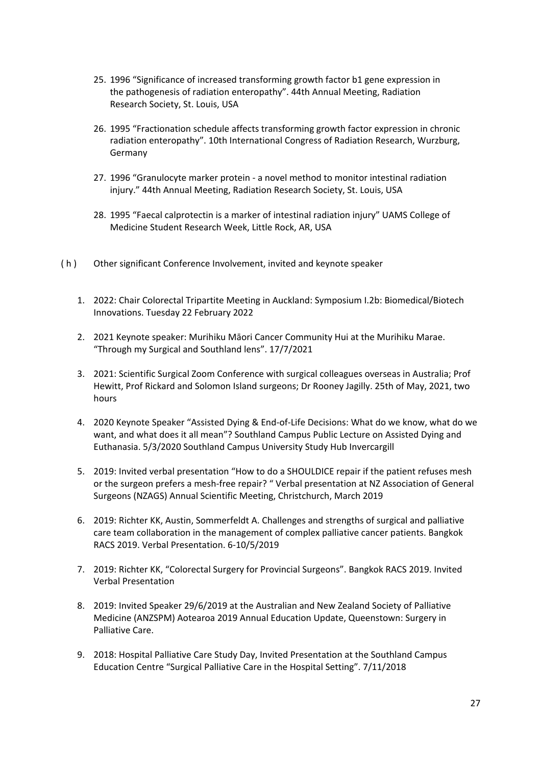- 25. 1996 "Significance of increased transforming growth factor b1 gene expression in the pathogenesis of radiation enteropathy". 44th Annual Meeting, Radiation Research Society, St. Louis, USA
- 26. 1995 "Fractionation schedule affects transforming growth factor expression in chronic radiation enteropathy". 10th International Congress of Radiation Research, Wurzburg, Germany
- 27. 1996 "Granulocyte marker protein a novel method to monitor intestinal radiation injury." 44th Annual Meeting, Radiation Research Society, St. Louis, USA
- 28. 1995 "Faecal calprotectin is a marker of intestinal radiation injury" UAMS College of Medicine Student Research Week, Little Rock, AR, USA
- ( h ) Other significant Conference Involvement, invited and keynote speaker
	- 1. 2022: Chair Colorectal Tripartite Meeting in Auckland: Symposium I.2b: Biomedical/Biotech Innovations. Tuesday 22 February 2022
	- 2. 2021 Keynote speaker: Murihiku Māori Cancer Community Hui at the Murihiku Marae. "Through my Surgical and Southland lens". 17/7/2021
	- 3. 2021: Scientific Surgical Zoom Conference with surgical colleagues overseas in Australia; Prof Hewitt, Prof Rickard and Solomon Island surgeons; Dr Rooney Jagilly. 25th of May, 2021, two hours
	- 4. 2020 Keynote Speaker "Assisted Dying & End-of-Life Decisions: What do we know, what do we want, and what does it all mean"? Southland Campus Public Lecture on Assisted Dying and Euthanasia. 5/3/2020 Southland Campus University Study Hub Invercargill
	- 5. 2019: Invited verbal presentation "How to do a SHOULDICE repair if the patient refuses mesh or the surgeon prefers a mesh-free repair? " Verbal presentation at NZ Association of General Surgeons (NZAGS) Annual Scientific Meeting, Christchurch, March 2019
	- 6. 2019: Richter KK, Austin, Sommerfeldt A. Challenges and strengths of surgical and palliative care team collaboration in the management of complex palliative cancer patients. Bangkok RACS 2019. Verbal Presentation. 6-10/5/2019
	- 7. 2019: Richter KK, "Colorectal Surgery for Provincial Surgeons". Bangkok RACS 2019. Invited Verbal Presentation
	- 8. 2019: Invited Speaker 29/6/2019 at the Australian and New Zealand Society of Palliative Medicine (ANZSPM) Aotearoa 2019 Annual Education Update, Queenstown: Surgery in Palliative Care.
	- 9. 2018: Hospital Palliative Care Study Day, Invited Presentation at the Southland Campus Education Centre "Surgical Palliative Care in the Hospital Setting". 7/11/2018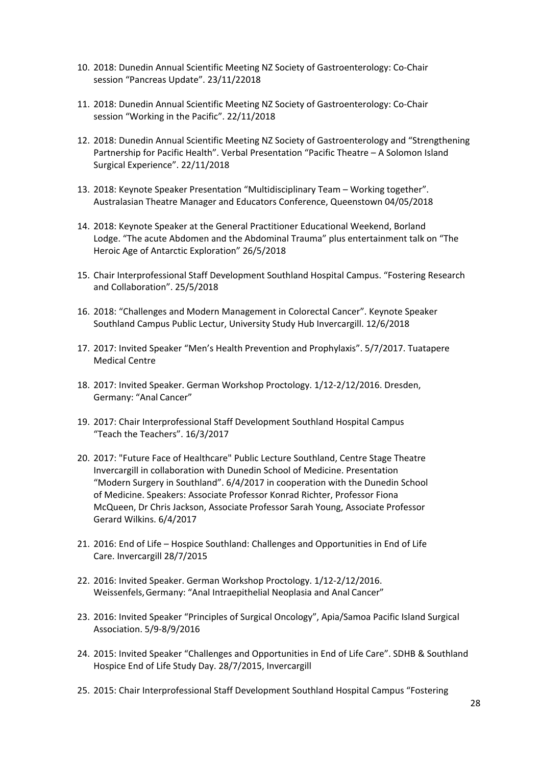- 10. 2018: Dunedin Annual Scientific Meeting NZ Society of Gastroenterology: Co-Chair session "Pancreas Update". 23/11/22018
- 11. 2018: Dunedin Annual Scientific Meeting NZ Society of Gastroenterology: Co-Chair session "Working in the Pacific". 22/11/2018
- 12. 2018: Dunedin Annual Scientific Meeting NZ Society of Gastroenterology and "Strengthening Partnership for Pacific Health". Verbal Presentation "Pacific Theatre – A Solomon Island Surgical Experience". 22/11/2018
- 13. 2018: Keynote Speaker Presentation "Multidisciplinary Team Working together". Australasian Theatre Manager and Educators Conference, Queenstown 04/05/2018
- 14. 2018: Keynote Speaker at the General Practitioner Educational Weekend, Borland Lodge. "The acute Abdomen and the Abdominal Trauma" plus entertainment talk on "The Heroic Age of Antarctic Exploration" 26/5/2018
- 15. Chair Interprofessional Staff Development Southland Hospital Campus. "Fostering Research and Collaboration". 25/5/2018
- 16. 2018: "Challenges and Modern Management in Colorectal Cancer". Keynote Speaker Southland Campus Public Lectur, University Study Hub Invercargill. 12/6/2018
- 17. 2017: Invited Speaker "Men's Health Prevention and Prophylaxis". 5/7/2017. Tuatapere Medical Centre
- 18. 2017: Invited Speaker. German Workshop Proctology. 1/12-2/12/2016. Dresden, Germany: "Anal Cancer"
- 19. 2017: Chair Interprofessional Staff Development Southland Hospital Campus "Teach the Teachers". 16/3/2017
- 20. 2017: "Future Face of Healthcare" Public Lecture Southland, Centre Stage Theatre Invercargill in collaboration with Dunedin School of Medicine. Presentation "Modern Surgery in Southland". 6/4/2017 in cooperation with the Dunedin School of Medicine. Speakers: Associate Professor Konrad Richter, Professor Fiona McQueen, Dr Chris Jackson, Associate Professor Sarah Young, Associate Professor Gerard Wilkins. 6/4/2017
- 21. 2016: End of Life Hospice Southland: Challenges and Opportunities in End of Life Care. Invercargill 28/7/2015
- 22. 2016: Invited Speaker. German Workshop Proctology. 1/12-2/12/2016. Weissenfels,Germany: "Anal Intraepithelial Neoplasia and Anal Cancer"
- 23. 2016: Invited Speaker "Principles of Surgical Oncology", Apia/Samoa Pacific Island Surgical Association. 5/9-8/9/2016
- 24. 2015: Invited Speaker "Challenges and Opportunities in End of Life Care". SDHB & Southland Hospice End of Life Study Day. 28/7/2015, Invercargill
- 25. 2015: Chair Interprofessional Staff Development Southland Hospital Campus "Fostering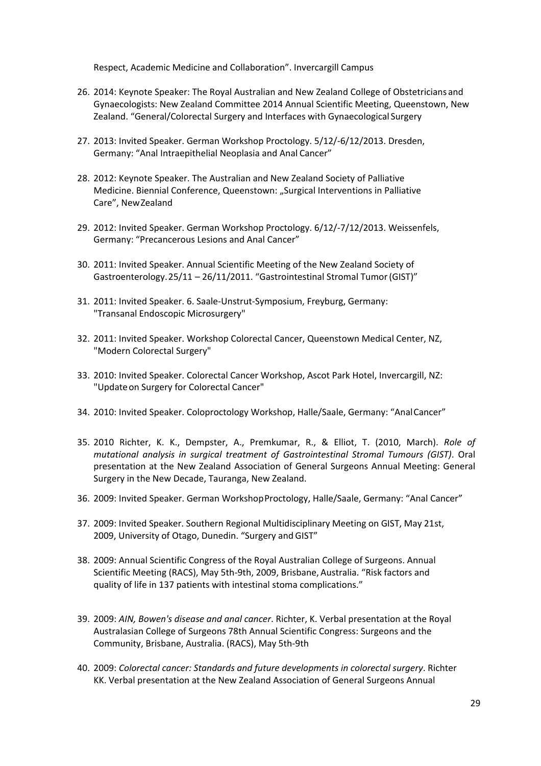Respect, Academic Medicine and Collaboration". Invercargill Campus

- 26. 2014: Keynote Speaker: The Royal Australian and New Zealand College of Obstetricians and Gynaecologists: New Zealand Committee 2014 Annual Scientific Meeting, Queenstown, New Zealand. "General/Colorectal Surgery and Interfaces with Gynaecological Surgery
- 27. 2013: Invited Speaker. German Workshop Proctology. 5/12/-6/12/2013. Dresden, Germany: "Anal Intraepithelial Neoplasia and Anal Cancer"
- 28. 2012: Keynote Speaker. The Australian and New Zealand Society of Palliative Medicine. Biennial Conference, Queenstown: "Surgical Interventions in Palliative Care", NewZealand
- 29. 2012: Invited Speaker. German Workshop Proctology. 6/12/-7/12/2013. Weissenfels, Germany: "Precancerous Lesions and Anal Cancer"
- 30. 2011: Invited Speaker. Annual Scientific Meeting of the New Zealand Society of Gastroenterology.25/11 – 26/11/2011. "Gastrointestinal Stromal Tumor (GIST)"
- 31. 2011: Invited Speaker. 6. Saale-Unstrut-Symposium, Freyburg, Germany: "Transanal Endoscopic Microsurgery"
- 32. 2011: Invited Speaker. Workshop Colorectal Cancer, Queenstown Medical Center, NZ, "Modern Colorectal Surgery"
- 33. 2010: Invited Speaker. Colorectal Cancer Workshop, Ascot Park Hotel, Invercargill, NZ: "Updateon Surgery for Colorectal Cancer"
- 34. 2010: Invited Speaker. Coloproctology Workshop, Halle/Saale, Germany: "AnalCancer"
- 35. 2010 Richter, K. K., Dempster, A., Premkumar, R., & Elliot, T. (2010, March). *Role of mutational analysis in surgical treatment of Gastrointestinal Stromal Tumours (GIST)*. Oral presentation at the New Zealand Association of General Surgeons Annual Meeting: General Surgery in the New Decade, Tauranga, New Zealand.
- 36. 2009: Invited Speaker. German Workshop Proctology, Halle/Saale, Germany: "Anal Cancer"
- 37. 2009: Invited Speaker. Southern Regional Multidisciplinary Meeting on GIST, May 21st, 2009, University of Otago, Dunedin. "Surgery and GIST"
- 38. 2009: Annual Scientific Congress of the Royal Australian College of Surgeons. Annual Scientific Meeting (RACS), May 5th-9th, 2009, Brisbane, Australia. "Risk factors and quality of life in 137 patients with intestinal stoma complications."
- 39. 2009: *AIN, Bowen's disease and anal cancer*. Richter, K. Verbal presentation at the Royal Australasian College of Surgeons 78th Annual Scientific Congress: Surgeons and the Community, Brisbane, Australia. (RACS), May 5th-9th
- 40. 2009: *Colorectal cancer: Standards and future developments in colorectal surgery*. Richter KK. Verbal presentation at the New Zealand Association of General Surgeons Annual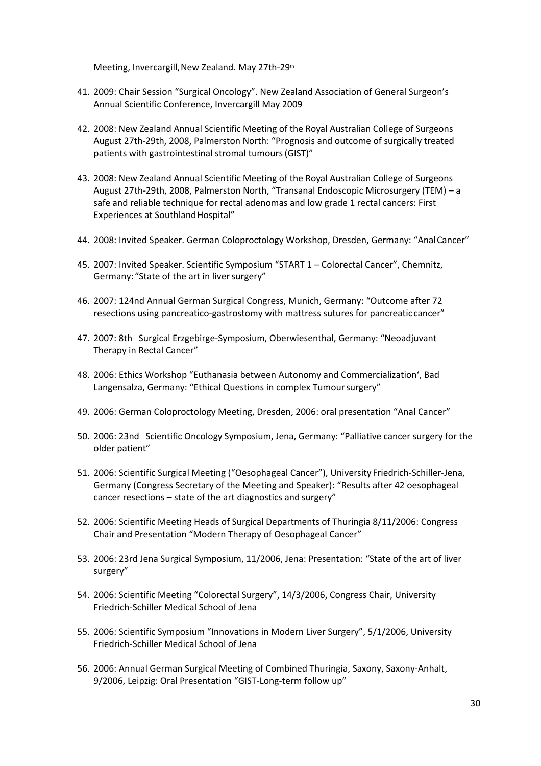Meeting, Invercargill, New Zealand. May 27th-29th

- 41. 2009: Chair Session "Surgical Oncology". New Zealand Association of General Surgeon's Annual Scientific Conference, Invercargill May 2009
- 42. 2008: New Zealand Annual Scientific Meeting of the Royal Australian College of Surgeons August 27th-29th, 2008, Palmerston North: "Prognosis and outcome of surgically treated patients with gastrointestinal stromal tumours (GIST)"
- 43. 2008: New Zealand Annual Scientific Meeting of the Royal Australian College of Surgeons August 27th-29th, 2008, Palmerston North, "Transanal Endoscopic Microsurgery (TEM) – a safe and reliable technique for rectal adenomas and low grade 1 rectal cancers: First Experiences at Southland Hospital"
- 44. 2008: Invited Speaker. German Coloproctology Workshop, Dresden, Germany: "Anal Cancer"
- 45. 2007: Invited Speaker. Scientific Symposium "START 1 Colorectal Cancer", Chemnitz, Germany: "State of the art in liver surgery"
- 46. 2007: 124nd Annual German Surgical Congress, Munich, Germany: "Outcome after 72 resections using pancreatico-gastrostomy with mattress sutures for pancreatic cancer"
- 47. 2007: 8th Surgical Erzgebirge-Symposium, Oberwiesenthal, Germany: "Neoadjuvant Therapy in Rectal Cancer"
- 48. 2006: Ethics Workshop "Euthanasia between Autonomy and Commercialization', Bad Langensalza, Germany: "Ethical Questions in complex Tumour surgery"
- 49. 2006: German Coloproctology Meeting, Dresden, 2006: oral presentation "Anal Cancer"
- 50. 2006: 23nd Scientific Oncology Symposium, Jena, Germany: "Palliative cancer surgery for the older patient"
- 51. 2006: Scientific Surgical Meeting ("Oesophageal Cancer"), University Friedrich-Schiller-Jena, Germany (Congress Secretary of the Meeting and Speaker): "Results after 42 oesophageal cancer resections – state of the art diagnostics and surgery"
- 52. 2006: Scientific Meeting Heads of Surgical Departments of Thuringia 8/11/2006: Congress Chair and Presentation "Modern Therapy of Oesophageal Cancer"
- 53. 2006: 23rd Jena Surgical Symposium, 11/2006, Jena: Presentation: "State of the art of liver surgery"
- 54. 2006: Scientific Meeting "Colorectal Surgery", 14/3/2006, Congress Chair, University Friedrich-Schiller Medical School of Jena
- 55. 2006: Scientific Symposium "Innovations in Modern Liver Surgery", 5/1/2006, University Friedrich-Schiller Medical School of Jena
- 56. 2006: Annual German Surgical Meeting of Combined Thuringia, Saxony, Saxony-Anhalt, 9/2006, Leipzig: Oral Presentation "GIST-Long-term follow up"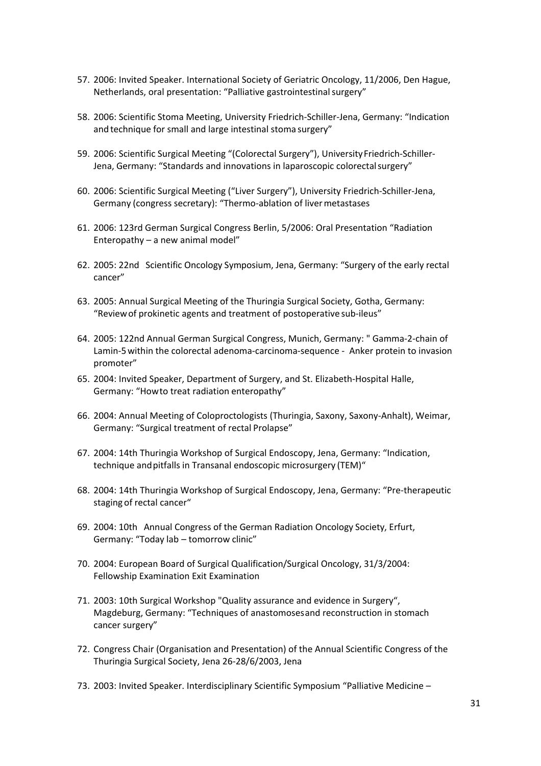- 57. 2006: Invited Speaker. International Society of Geriatric Oncology, 11/2006, Den Hague, Netherlands, oral presentation: "Palliative gastrointestinal surgery"
- 58. 2006: Scientific Stoma Meeting, University Friedrich-Schiller-Jena, Germany: "Indication and technique for small and large intestinal stoma surgery"
- 59. 2006: Scientific Surgical Meeting "(Colorectal Surgery"), University Friedrich-Schiller-Jena, Germany: "Standards and innovations in laparoscopic colorectalsurgery"
- 60. 2006: Scientific Surgical Meeting ("Liver Surgery"), University Friedrich-Schiller-Jena, Germany (congress secretary): "Thermo-ablation of liver metastases
- 61. 2006: 123rd German Surgical Congress Berlin, 5/2006: Oral Presentation "Radiation Enteropathy – a new animal model"
- 62. 2005: 22nd Scientific Oncology Symposium, Jena, Germany: "Surgery of the early rectal cancer"
- 63. 2005: Annual Surgical Meeting of the Thuringia Surgical Society, Gotha, Germany: "Reviewof prokinetic agents and treatment of postoperative sub-ileus"
- 64. 2005: 122nd Annual German Surgical Congress, Munich, Germany: " Gamma-2-chain of Lamin-5within the colorectal adenoma-carcinoma-sequence - Anker protein to invasion promoter"
- 65. 2004: Invited Speaker, Department of Surgery, and St. Elizabeth-Hospital Halle, Germany: "Howto treat radiation enteropathy"
- 66. 2004: Annual Meeting of Coloproctologists (Thuringia, Saxony, Saxony-Anhalt), Weimar, Germany: "Surgical treatment of rectal Prolapse"
- 67. 2004: 14th Thuringia Workshop of Surgical Endoscopy, Jena, Germany: "Indication, technique andpitfalls in Transanal endoscopic microsurgery (TEM)"
- 68. 2004: 14th Thuringia Workshop of Surgical Endoscopy, Jena, Germany: "Pre-therapeutic staging of rectal cancer"
- 69. 2004: 10th Annual Congress of the German Radiation Oncology Society, Erfurt, Germany: "Today lab – tomorrow clinic"
- 70. 2004: European Board of Surgical Qualification/Surgical Oncology, 31/3/2004: Fellowship Examination Exit Examination
- 71. 2003: 10th Surgical Workshop "Quality assurance and evidence in Surgery", Magdeburg, Germany: "Techniques of anastomosesand reconstruction in stomach cancer surgery"
- 72. Congress Chair (Organisation and Presentation) of the Annual Scientific Congress of the Thuringia Surgical Society, Jena 26-28/6/2003, Jena
- 73. 2003: Invited Speaker. Interdisciplinary Scientific Symposium "Palliative Medicine –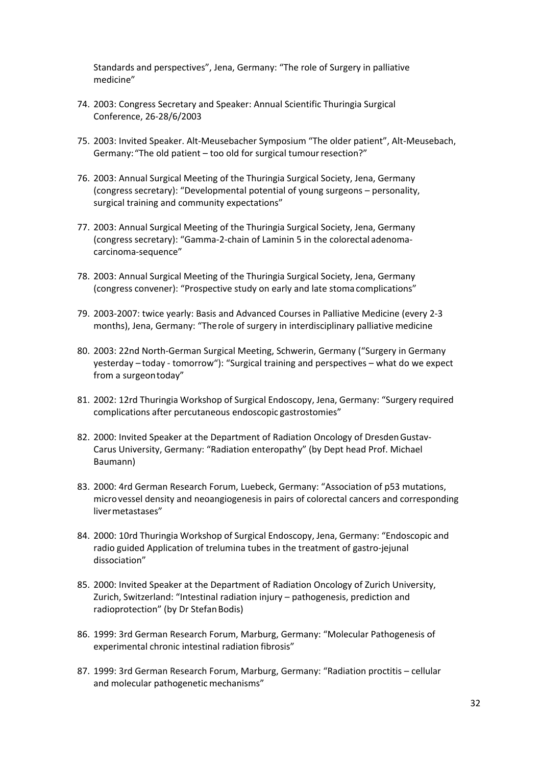Standards and perspectives", Jena, Germany: "The role of Surgery in palliative medicine"

- 74. 2003: Congress Secretary and Speaker: Annual Scientific Thuringia Surgical Conference, 26-28/6/2003
- 75. 2003: Invited Speaker. Alt-Meusebacher Symposium "The older patient", Alt-Meusebach, Germany: "The old patient – too old for surgical tumour resection?"
- 76. 2003: Annual Surgical Meeting of the Thuringia Surgical Society, Jena, Germany (congress secretary): "Developmental potential of young surgeons – personality, surgical training and community expectations"
- 77. 2003: Annual Surgical Meeting of the Thuringia Surgical Society, Jena, Germany (congress secretary): "Gamma-2-chain of Laminin 5 in the colorectal adenomacarcinoma-sequence"
- 78. 2003: Annual Surgical Meeting of the Thuringia Surgical Society, Jena, Germany (congress convener): "Prospective study on early and late stoma complications"
- 79. 2003-2007: twice yearly: Basis and Advanced Courses in Palliative Medicine (every 2-3 months), Jena, Germany: "Therole of surgery in interdisciplinary palliative medicine
- 80. 2003: 22nd North-German Surgical Meeting, Schwerin, Germany ("Surgery in Germany yesterday – today - tomorrow"): "Surgical training and perspectives – what do we expect from a surgeontoday"
- 81. 2002: 12rd Thuringia Workshop of Surgical Endoscopy, Jena, Germany: "Surgery required complications after percutaneous endoscopic gastrostomies"
- 82. 2000: Invited Speaker at the Department of Radiation Oncology of Dresden Gustav-Carus University, Germany: "Radiation enteropathy" (by Dept head Prof. Michael Baumann)
- 83. 2000: 4rd German Research Forum, Luebeck, Germany: "Association of p53 mutations, microvessel density and neoangiogenesis in pairs of colorectal cancers and corresponding livermetastases"
- 84. 2000: 10rd Thuringia Workshop of Surgical Endoscopy, Jena, Germany: "Endoscopic and radio guided Application of trelumina tubes in the treatment of gastro-jejunal dissociation"
- 85. 2000: Invited Speaker at the Department of Radiation Oncology of Zurich University, Zurich, Switzerland: "Intestinal radiation injury – pathogenesis, prediction and radioprotection" (by Dr Stefan Bodis)
- 86. 1999: 3rd German Research Forum, Marburg, Germany: "Molecular Pathogenesis of experimental chronic intestinal radiation fibrosis"
- 87. 1999: 3rd German Research Forum, Marburg, Germany: "Radiation proctitis cellular and molecular pathogenetic mechanisms"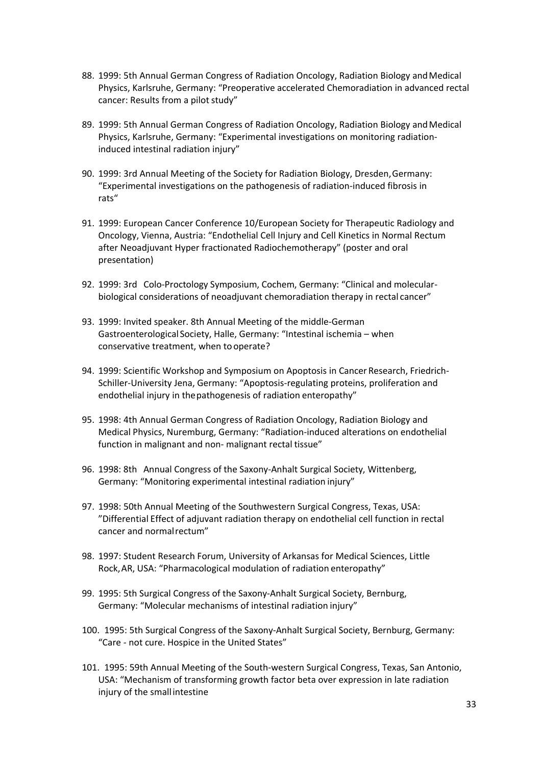- 88. 1999: 5th Annual German Congress of Radiation Oncology, Radiation Biology and Medical Physics, Karlsruhe, Germany: "Preoperative accelerated Chemoradiation in advanced rectal cancer: Results from a pilot study"
- 89. 1999: 5th Annual German Congress of Radiation Oncology, Radiation Biology and Medical Physics, Karlsruhe, Germany: "Experimental investigations on monitoring radiationinduced intestinal radiation injury"
- 90. 1999: 3rd Annual Meeting of the Society for Radiation Biology, Dresden,Germany: "Experimental investigations on the pathogenesis of radiation-induced fibrosis in rats"
- 91. 1999: European Cancer Conference 10/European Society for Therapeutic Radiology and Oncology, Vienna, Austria: "Endothelial Cell Injury and Cell Kinetics in Normal Rectum after Neoadjuvant Hyper fractionated Radiochemotherapy" (poster and oral presentation)
- 92. 1999: 3rd Colo-Proctology Symposium, Cochem, Germany: "Clinical and molecular biological considerations of neoadjuvant chemoradiation therapy in rectal cancer"
- 93. 1999: Invited speaker. 8th Annual Meeting of the middle-German Gastroenterological Society, Halle, Germany: "Intestinal ischemia – when conservative treatment, when to operate?
- 94. 1999: Scientific Workshop and Symposium on Apoptosis in Cancer Research, Friedrich-Schiller-University Jena, Germany: "Apoptosis-regulating proteins, proliferation and endothelial injury in thepathogenesis of radiation enteropathy"
- 95. 1998: 4th Annual German Congress of Radiation Oncology, Radiation Biology and Medical Physics, Nuremburg, Germany: "Radiation-induced alterations on endothelial function in malignant and non- malignant rectal tissue"
- 96. 1998: 8th Annual Congress of the Saxony-Anhalt Surgical Society, Wittenberg, Germany: "Monitoring experimental intestinal radiation injury"
- 97. 1998: 50th Annual Meeting of the Southwestern Surgical Congress, Texas, USA: "Differential Effect of adjuvant radiation therapy on endothelial cell function in rectal cancer and normalrectum"
- 98. 1997: Student Research Forum, University of Arkansas for Medical Sciences, Little Rock,AR, USA: "Pharmacological modulation of radiation enteropathy"
- 99. 1995: 5th Surgical Congress of the Saxony-Anhalt Surgical Society, Bernburg, Germany: "Molecular mechanisms of intestinal radiation injury"
- 100. 1995: 5th Surgical Congress of the Saxony-Anhalt Surgical Society, Bernburg, Germany: "Care not cure. Hospice in the United States"
- 101. 1995: 59th Annual Meeting of the South-western Surgical Congress, Texas, San Antonio, USA: "Mechanism of transforming growth factor beta over expression in late radiation injury of the small intestine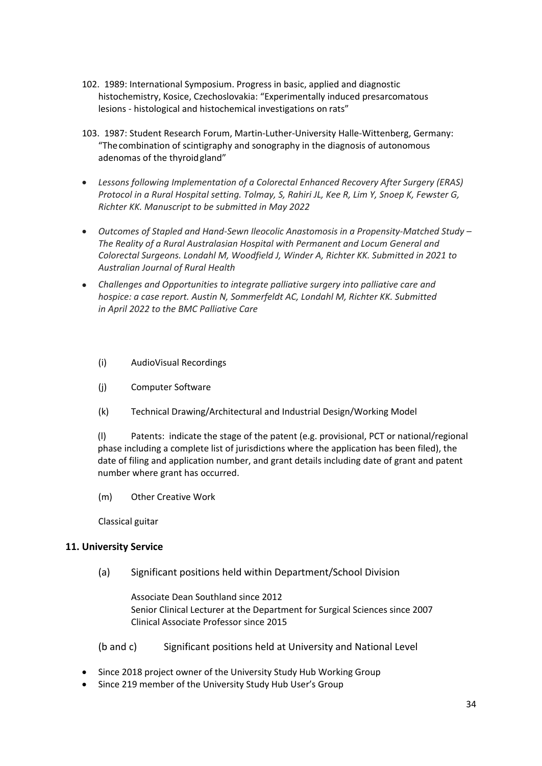- 102. 1989: International Symposium. Progress in basic, applied and diagnostic histochemistry, Kosice, Czechoslovakia: "Experimentally induced presarcomatous lesions - histological and histochemical investigations on rats"
- 103. 1987: Student Research Forum, Martin-Luther-University Halle-Wittenberg, Germany: "Thecombination of scintigraphy and sonography in the diagnosis of autonomous adenomas of the thyroidgland"
- *Lessons following Implementation of a Colorectal Enhanced Recovery After Surgery (ERAS) Protocol in a Rural Hospital setting. Tolmay, S, Rahiri JL, Kee R, Lim Y, Snoep K, Fewster G, Richter KK. Manuscript to be submitted in May 2022*
- *Outcomes of Stapled and Hand-Sewn Ileocolic Anastomosis in a Propensity-Matched Study The Reality of a Rural Australasian Hospital with Permanent and Locum General and Colorectal Surgeons. Londahl M, Woodfield J, Winder A, Richter KK. Submitted in 2021 to Australian Journal of Rural Health*
- *Challenges and Opportunities to integrate palliative surgery into palliative care and hospice: a case report. Austin N, Sommerfeldt AC, Londahl M, Richter KK. Submitted in April 2022 to the BMC Palliative Care* 
	- (i) AudioVisual Recordings
	- (j) Computer Software
	- (k) Technical Drawing/Architectural and Industrial Design/Working Model

(l) Patents: indicate the stage of the patent (e.g. provisional, PCT or national/regional phase including a complete list of jurisdictions where the application has been filed), the date of filing and application number, and grant details including date of grant and patent number where grant has occurred.

(m) Other Creative Work

Classical guitar

#### **11. University Service**

(a) Significant positions held within Department/School Division

Associate Dean Southland since 2012 Senior Clinical Lecturer at the Department for Surgical Sciences since 2007 Clinical Associate Professor since 2015

(b and c) Significant positions held at University and National Level

- Since 2018 project owner of the University Study Hub Working Group
- Since 219 member of the University Study Hub User's Group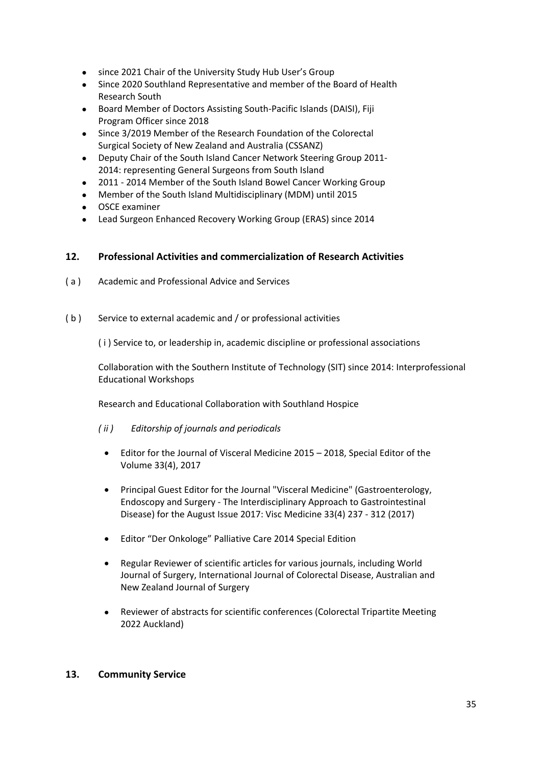- since 2021 Chair of the University Study Hub User's Group
- Since 2020 Southland Representative and member of the Board of Health Research South
- Board Member of Doctors Assisting South-Pacific Islands (DAISI), Fiji Program Officer since 2018
- Since 3/2019 Member of the Research Foundation of the Colorectal Surgical Society of New Zealand and Australia (CSSANZ)
- Deputy Chair of the South Island Cancer Network Steering Group 2011- 2014: representing General Surgeons from South Island
- 2011 2014 Member of the South Island Bowel Cancer Working Group
- Member of the South Island Multidisciplinary (MDM) until 2015
- OSCE examiner
- Lead Surgeon Enhanced Recovery Working Group (ERAS) since 2014

### **12. Professional Activities and commercialization of Research Activities**

- ( a ) Academic and Professional Advice and Services
- (b) Service to external academic and / or professional activities

( i ) Service to, or leadership in, academic discipline or professional associations

Collaboration with the Southern Institute of Technology (SIT) since 2014: Interprofessional Educational Workshops

Research and Educational Collaboration with Southland Hospice

- *( ii ) Editorship of journals and periodicals*
	- Editor for the Journal of Visceral Medicine 2015 2018, Special Editor of the Volume 33(4), 2017
	- Principal Guest Editor for the Journal "Visceral Medicine" (Gastroenterology, Endoscopy and Surgery - The Interdisciplinary Approach to Gastrointestinal Disease) for the August Issue 2017: Visc Medicine 33(4) 237 - 312 (2017)
	- Editor "Der Onkologe" Palliative Care 2014 Special Edition
	- Regular Reviewer of scientific articles for various journals, including World Journal of Surgery, International Journal of Colorectal Disease, Australian and New Zealand Journal of Surgery
	- Reviewer of abstracts for scientific conferences (Colorectal Tripartite Meeting 2022 Auckland)

#### **13. Community Service**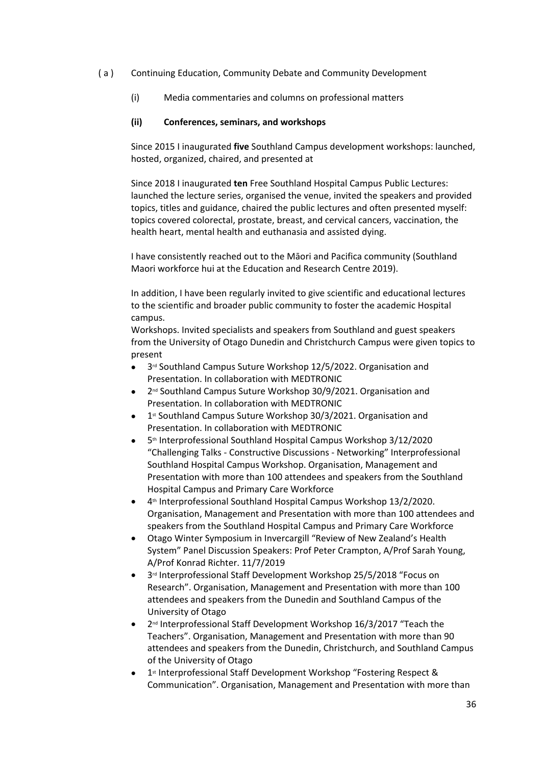- ( a ) Continuing Education, Community Debate and Community Development
	- (i) Media commentaries and columns on professional matters

#### **(ii) Conferences, seminars, and workshops**

Since 2015 I inaugurated **five** Southland Campus development workshops: launched, hosted, organized, chaired, and presented at

Since 2018 I inaugurated **ten** Free Southland Hospital Campus Public Lectures: launched the lecture series, organised the venue, invited the speakers and provided topics, titles and guidance, chaired the public lectures and often presented myself: topics covered colorectal, prostate, breast, and cervical cancers, vaccination, the health heart, mental health and euthanasia and assisted dying.

I have consistently reached out to the Māori and Pacifica community (Southland Maori workforce hui at the Education and Research Centre 2019).

In addition, I have been regularly invited to give scientific and educational lectures to the scientific and broader public community to foster the academic Hospital campus.

Workshops. Invited specialists and speakers from Southland and guest speakers from the University of Otago Dunedin and Christchurch Campus were given topics to present

- 3<sup>rd</sup> Southland Campus Suture Workshop 12/5/2022. Organisation and Presentation. In collaboration with MEDTRONIC
- 2<sup>nd</sup> Southland Campus Suture Workshop 30/9/2021. Organisation and Presentation. In collaboration with MEDTRONIC
- 1<sup>st</sup> Southland Campus Suture Workshop 30/3/2021. Organisation and Presentation. In collaboration with MEDTRONIC
- 5th Interprofessional Southland Hospital Campus Workshop 3/12/2020 "Challenging Talks - Constructive Discussions - Networking" Interprofessional Southland Hospital Campus Workshop. Organisation, Management and Presentation with more than 100 attendees and speakers from the Southland Hospital Campus and Primary Care Workforce
- 4<sup>th</sup> Interprofessional Southland Hospital Campus Workshop 13/2/2020. Organisation, Management and Presentation with more than 100 attendees and speakers from the Southland Hospital Campus and Primary Care Workforce
- Otago Winter Symposium in Invercargill "Review of New Zealand's Health System" Panel Discussion Speakers: Prof Peter Crampton, A/Prof Sarah Young, A/Prof Konrad Richter. 11/7/2019
- 3<sup>rd</sup> Interprofessional Staff Development Workshop 25/5/2018 "Focus on Research". Organisation, Management and Presentation with more than 100 attendees and speakers from the Dunedin and Southland Campus of the University of Otago
- 2<sup>nd</sup> Interprofessional Staff Development Workshop 16/3/2017 "Teach the Teachers". Organisation, Management and Presentation with more than 90 attendees and speakers from the Dunedin, Christchurch, and Southland Campus of the University of Otago
- 1<sup>st</sup> Interprofessional Staff Development Workshop "Fostering Respect & Communication". Organisation, Management and Presentation with more than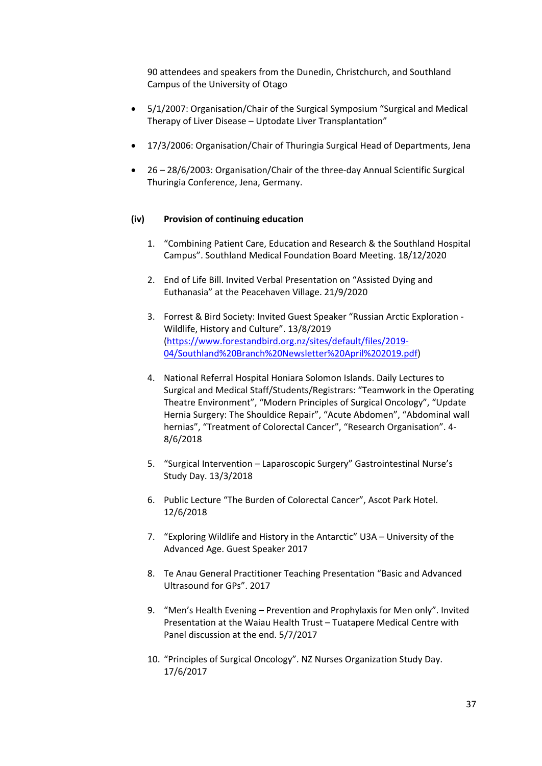90 attendees and speakers from the Dunedin, Christchurch, and Southland Campus of the University of Otago

- 5/1/2007: Organisation/Chair of the Surgical Symposium "Surgical and Medical Therapy of Liver Disease – Uptodate Liver Transplantation"
- 17/3/2006: Organisation/Chair of Thuringia Surgical Head of Departments, Jena
- 26 28/6/2003: Organisation/Chair of the three-day Annual Scientific Surgical Thuringia Conference, Jena, Germany.

#### **(iv) Provision of continuing education**

- 1. "Combining Patient Care, Education and Research & the Southland Hospital Campus". Southland Medical Foundation Board Meeting. 18/12/2020
- 2. End of Life Bill. Invited Verbal Presentation on "Assisted Dying and Euthanasia" at the Peacehaven Village. 21/9/2020
- 3. Forrest & Bird Society: Invited Guest Speaker "Russian Arctic Exploration Wildlife, History and Culture". 13/8/2019 (https://www.forestandbird.org.nz/sites/default/files/2019- 04/Southland%20Branch%20Newsletter%20April%202019.pdf)
- 4. National Referral Hospital Honiara Solomon Islands. Daily Lectures to Surgical and Medical Staff/Students/Registrars: "Teamwork in the Operating Theatre Environment", "Modern Principles of Surgical Oncology", "Update Hernia Surgery: The Shouldice Repair", "Acute Abdomen", "Abdominal wall hernias", "Treatment of Colorectal Cancer", "Research Organisation". 4- 8/6/2018
- 5. "Surgical Intervention Laparoscopic Surgery" Gastrointestinal Nurse's Study Day. 13/3/2018
- 6. Public Lecture "The Burden of Colorectal Cancer", Ascot Park Hotel. 12/6/2018
- 7. "Exploring Wildlife and History in the Antarctic" U3A University of the Advanced Age. Guest Speaker 2017
- 8. Te Anau General Practitioner Teaching Presentation "Basic and Advanced Ultrasound for GPs". 2017
- 9. "Men's Health Evening Prevention and Prophylaxis for Men only". Invited Presentation at the Waiau Health Trust – Tuatapere Medical Centre with Panel discussion at the end. 5/7/2017
- 10. "Principles of Surgical Oncology". NZ Nurses Organization Study Day. 17/6/2017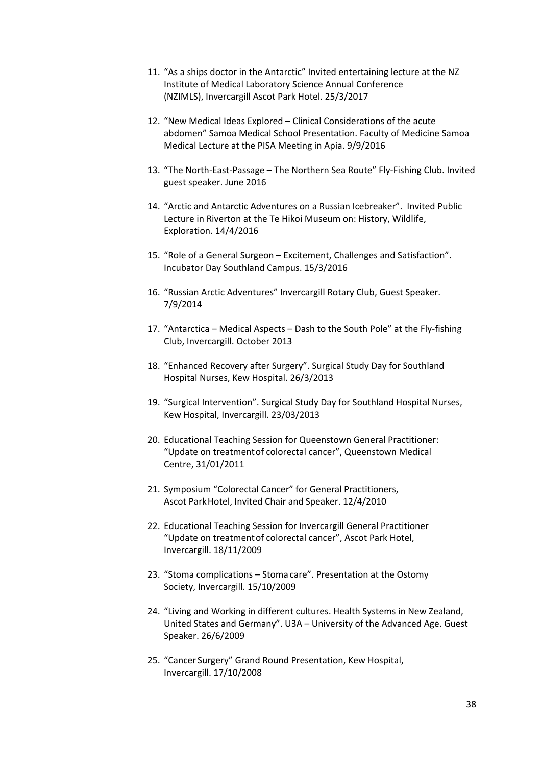- 11. "As a ships doctor in the Antarctic" Invited entertaining lecture at the NZ Institute of Medical Laboratory Science Annual Conference (NZIMLS), Invercargill Ascot Park Hotel. 25/3/2017
- 12. "New Medical Ideas Explored Clinical Considerations of the acute abdomen" Samoa Medical School Presentation. Faculty of Medicine Samoa Medical Lecture at the PISA Meeting in Apia. 9/9/2016
- 13. "The North-East-Passage The Northern Sea Route" Fly-Fishing Club. Invited guest speaker. June 2016
- 14. "Arctic and Antarctic Adventures on a Russian Icebreaker". Invited Public Lecture in Riverton at the Te Hikoi Museum on: History, Wildlife, Exploration. 14/4/2016
- 15. "Role of a General Surgeon Excitement, Challenges and Satisfaction". Incubator Day Southland Campus. 15/3/2016
- 16. "Russian Arctic Adventures" Invercargill Rotary Club, Guest Speaker. 7/9/2014
- 17. "Antarctica Medical Aspects Dash to the South Pole" at the Fly-fishing Club, Invercargill. October 2013
- 18. "Enhanced Recovery after Surgery". Surgical Study Day for Southland Hospital Nurses, Kew Hospital. 26/3/2013
- 19. "Surgical Intervention". Surgical Study Day for Southland Hospital Nurses, Kew Hospital, Invercargill. 23/03/2013
- 20. Educational Teaching Session for Queenstown General Practitioner: "Update on treatmentof colorectal cancer", Queenstown Medical Centre, 31/01/2011
- 21. Symposium "Colorectal Cancer" for General Practitioners, Ascot ParkHotel, Invited Chair and Speaker. 12/4/2010
- 22. Educational Teaching Session for Invercargill General Practitioner "Update on treatmentof colorectal cancer", Ascot Park Hotel, Invercargill. 18/11/2009
- 23. "Stoma complications Stoma care". Presentation at the Ostomy Society, Invercargill. 15/10/2009
- 24. "Living and Working in different cultures. Health Systems in New Zealand, United States and Germany". U3A – University of the Advanced Age. Guest Speaker. 26/6/2009
- 25. "Cancer Surgery" Grand Round Presentation, Kew Hospital, Invercargill. 17/10/2008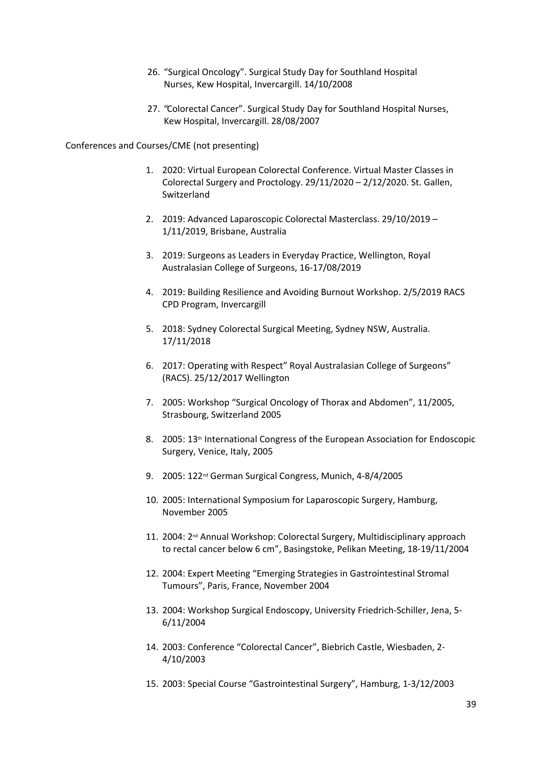- 26. "Surgical Oncology". Surgical Study Day for Southland Hospital Nurses, Kew Hospital, Invercargill. 14/10/2008
- 27. "Colorectal Cancer". Surgical Study Day for Southland Hospital Nurses, Kew Hospital, Invercargill. 28/08/2007

Conferences and Courses/CME (not presenting)

- 1. 2020: Virtual European Colorectal Conference. Virtual Master Classes in Colorectal Surgery and Proctology. 29/11/2020 – 2/12/2020. St. Gallen, Switzerland
- 2. 2019: Advanced Laparoscopic Colorectal Masterclass. 29/10/2019 1/11/2019, Brisbane, Australia
- 3. 2019: Surgeons as Leaders in Everyday Practice, Wellington, Royal Australasian College of Surgeons, 16-17/08/2019
- 4. 2019: Building Resilience and Avoiding Burnout Workshop. 2/5/2019 RACS CPD Program, Invercargill
- 5. 2018: Sydney Colorectal Surgical Meeting, Sydney NSW, Australia. 17/11/2018
- 6. 2017: Operating with Respect" Royal Australasian College of Surgeons" (RACS). 25/12/2017 Wellington
- 7. 2005: Workshop "Surgical Oncology of Thorax and Abdomen", 11/2005, Strasbourg, Switzerland 2005
- 8. 2005: 13<sup>th</sup> International Congress of the European Association for Endoscopic Surgery, Venice, Italy, 2005
- 9. 2005: 122<sup>nd</sup> German Surgical Congress, Munich, 4-8/4/2005
- 10. 2005: International Symposium for Laparoscopic Surgery, Hamburg, November 2005
- 11. 2004: 2<sup>nd</sup> Annual Workshop: Colorectal Surgery, Multidisciplinary approach to rectal cancer below 6 cm", Basingstoke, Pelikan Meeting, 18-19/11/2004
- 12. 2004: Expert Meeting "Emerging Strategies in Gastrointestinal Stromal Tumours", Paris, France, November 2004
- 13. 2004: Workshop Surgical Endoscopy, University Friedrich-Schiller, Jena, 5- 6/11/2004
- 14. 2003: Conference "Colorectal Cancer", Biebrich Castle, Wiesbaden, 2- 4/10/2003
- 15. 2003: Special Course "Gastrointestinal Surgery", Hamburg, 1-3/12/2003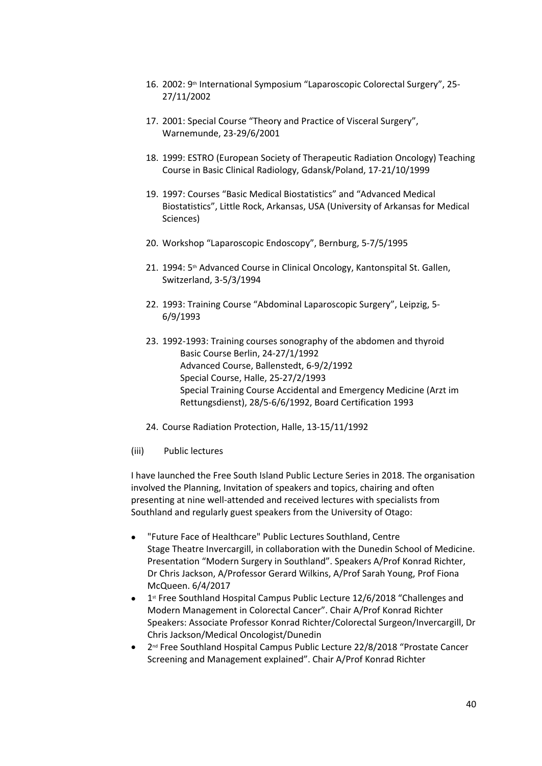- 16. 2002: 9<sup>th</sup> International Symposium "Laparoscopic Colorectal Surgery", 25-27/11/2002
- 17. 2001: Special Course "Theory and Practice of Visceral Surgery", Warnemunde, 23-29/6/2001
- 18. 1999: ESTRO (European Society of Therapeutic Radiation Oncology) Teaching Course in Basic Clinical Radiology, Gdansk/Poland, 17-21/10/1999
- 19. 1997: Courses "Basic Medical Biostatistics" and "Advanced Medical Biostatistics", Little Rock, Arkansas, USA (University of Arkansas for Medical Sciences)
- 20. Workshop "Laparoscopic Endoscopy", Bernburg, 5-7/5/1995
- 21. 1994: 5<sup>th</sup> Advanced Course in Clinical Oncology, Kantonspital St. Gallen, Switzerland, 3-5/3/1994
- 22. 1993: Training Course "Abdominal Laparoscopic Surgery", Leipzig, 5- 6/9/1993
- 23. 1992-1993: Training courses sonography of the abdomen and thyroid Basic Course Berlin, 24-27/1/1992 Advanced Course, Ballenstedt, 6-9/2/1992 Special Course, Halle, 25-27/2/1993 Special Training Course Accidental and Emergency Medicine (Arzt im Rettungsdienst), 28/5-6/6/1992, Board Certification 1993
- 24. Course Radiation Protection, Halle, 13-15/11/1992
- (iii) Public lectures

I have launched the Free South Island Public Lecture Series in 2018. The organisation involved the Planning, Invitation of speakers and topics, chairing and often presenting at nine well-attended and received lectures with specialists from Southland and regularly guest speakers from the University of Otago:

- "Future Face of Healthcare" Public Lectures Southland, Centre Stage Theatre Invercargill, in collaboration with the Dunedin School of Medicine. Presentation "Modern Surgery in Southland". Speakers A/Prof Konrad Richter, Dr Chris Jackson, A/Professor Gerard Wilkins, A/Prof Sarah Young, Prof Fiona McQueen. 6/4/2017
- 1<sup>st</sup> Free Southland Hospital Campus Public Lecture 12/6/2018 "Challenges and Modern Management in Colorectal Cancer". Chair A/Prof Konrad Richter Speakers: Associate Professor Konrad Richter/Colorectal Surgeon/Invercargill, Dr Chris Jackson/Medical Oncologist/Dunedin
- 2<sup>nd</sup> Free Southland Hospital Campus Public Lecture 22/8/2018 "Prostate Cancer Screening and Management explained". Chair A/Prof Konrad Richter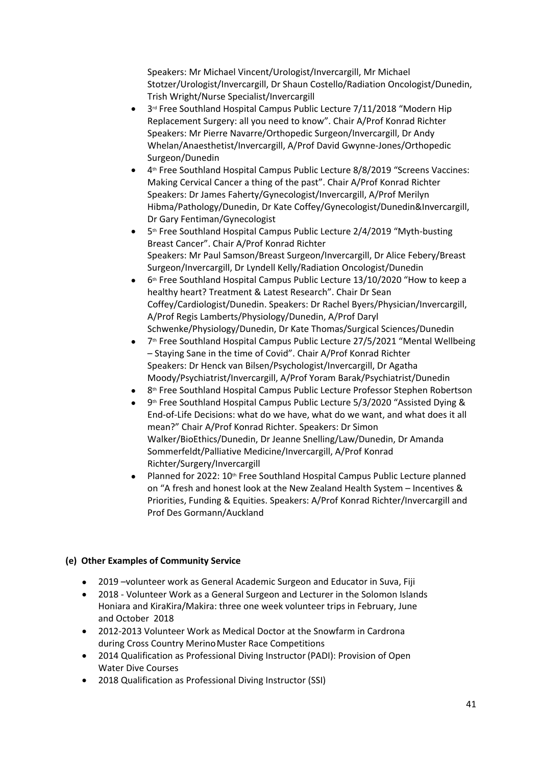Speakers: Mr Michael Vincent/Urologist/Invercargill, Mr Michael Stotzer/Urologist/Invercargill, Dr Shaun Costello/Radiation Oncologist/Dunedin, Trish Wright/Nurse Specialist/Invercargill

- 3<sup>rd</sup> Free Southland Hospital Campus Public Lecture 7/11/2018 "Modern Hip Replacement Surgery: all you need to know". Chair A/Prof Konrad Richter Speakers: Mr Pierre Navarre/Orthopedic Surgeon/Invercargill, Dr Andy Whelan/Anaesthetist/Invercargill, A/Prof David Gwynne-Jones/Orthopedic Surgeon/Dunedin
- 4<sup>th</sup> Free Southland Hospital Campus Public Lecture 8/8/2019 "Screens Vaccines: Making Cervical Cancer a thing of the past". Chair A/Prof Konrad Richter Speakers: Dr James Faherty/Gynecologist/Invercargill, A/Prof Merilyn Hibma/Pathology/Dunedin, Dr Kate Coffey/Gynecologist/Dunedin&Invercargill, Dr Gary Fentiman/Gynecologist
- 5<sup>th</sup> Free Southland Hospital Campus Public Lecture 2/4/2019 "Myth-busting Breast Cancer". Chair A/Prof Konrad Richter Speakers: Mr Paul Samson/Breast Surgeon/Invercargill, Dr Alice Febery/Breast Surgeon/Invercargill, Dr Lyndell Kelly/Radiation Oncologist/Dunedin
- 6<sup>th</sup> Free Southland Hospital Campus Public Lecture 13/10/2020 "How to keep a healthy heart? Treatment & Latest Research". Chair Dr Sean Coffey/Cardiologist/Dunedin. Speakers: Dr Rachel Byers/Physician/Invercargill, A/Prof Regis Lamberts/Physiology/Dunedin, A/Prof Daryl Schwenke/Physiology/Dunedin, Dr Kate Thomas/Surgical Sciences/Dunedin
- 7<sup>th</sup> Free Southland Hospital Campus Public Lecture 27/5/2021 "Mental Wellbeing – Staying Sane in the time of Covid". Chair A/Prof Konrad Richter Speakers: Dr Henck van Bilsen/Psychologist/Invercargill, Dr Agatha Moody/Psychiatrist/Invercargill, A/Prof Yoram Barak/Psychiatrist/Dunedin
- $\bullet$  8<sup>th</sup> Free Southland Hospital Campus Public Lecture Professor Stephen Robertson
- $\bullet$  9<sup>th</sup> Free Southland Hospital Campus Public Lecture 5/3/2020 "Assisted Dying & End-of-Life Decisions: what do we have, what do we want, and what does it all mean?" Chair A/Prof Konrad Richter. Speakers: Dr Simon Walker/BioEthics/Dunedin, Dr Jeanne Snelling/Law/Dunedin, Dr Amanda Sommerfeldt/Palliative Medicine/Invercargill, A/Prof Konrad Richter/Surgery/Invercargill
- Planned for 2022: 10<sup>th</sup> Free Southland Hospital Campus Public Lecture planned on "A fresh and honest look at the New Zealand Health System – Incentives & Priorities, Funding & Equities. Speakers: A/Prof Konrad Richter/Invercargill and Prof Des Gormann/Auckland

# **(e) Other Examples of Community Service**

- 2019 –volunteer work as General Academic Surgeon and Educator in Suva, Fiji
- 2018 Volunteer Work as a General Surgeon and Lecturer in the Solomon Islands Honiara and KiraKira/Makira: three one week volunteer trips in February, June and October 2018
- 2012-2013 Volunteer Work as Medical Doctor at the Snowfarm in Cardrona during Cross Country Merino Muster Race Competitions
- 2014 Qualification as Professional Diving Instructor (PADI): Provision of Open Water Dive Courses
- 2018 Qualification as Professional Diving Instructor (SSI)